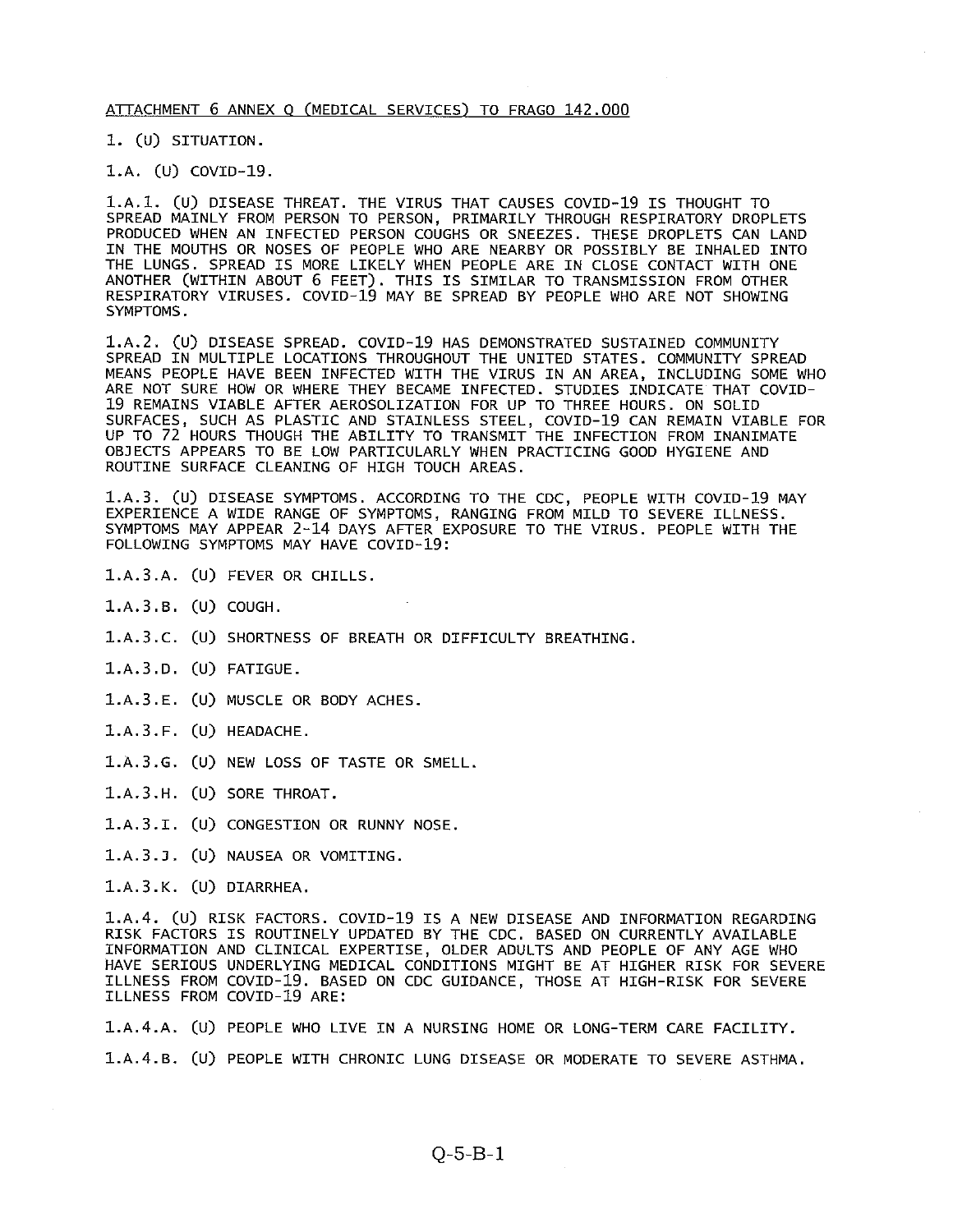#### ATTACHMENT 6 ANNEX 0 (MEDICAL SERVICES) TO FRAGO 142.000

1. (U) SITUATION.

l.A. (U) COVID-19.

1.A.1. (U) DISEASE THREAT. THE VIRUS THAT CAUSES COVID-19 IS THOUGHT TO SPREAD MAINLY FROM PERSON TO PERSON, PRIMARILY THROUGH RESPIRATORY DROPLETS PRODUCED WHEN AN INFECTED PERSON COUGHS OR SNEEZES. THESE DROPLETS CAN LAND IN THE MOUTHS OR NOSES OF PEOPLE WHO ARE NEARBY OR POSSIBLY BE INHALED INTO THE LUNGS. SPREAD IS MORE LIKELY WHEN PEOPLE ARE IN CLOSE CONTACT WITH ONE ANOTHER (WITHIN ABOUT 6 FEET). THIS IS SIMILAR TO TRANSMISSION FROM OTHER RESPIRATORY VIRUSES. COVID-19 MAY BE SPREAD BY PEOPLE WHO ARE NOT SHOWING SYMPTOMS.

1.A.2. (U) DISEASE SPREAD. COVID-19 HAS DEMONSTRATED SUSTAINED COMMUNITY SPREAD IN MULTIPLE LOCATIONS THROUGHOUT THE UNITED STATES. COMMUNITY SPREAD MEANS PEOPLE HAVE BEEN INFECTED WITH THE VIRUS IN AN AREA, INCLUDING SOME WHO ARE NOT SURE HOW OR WHERE THEY BECAME INFECTED. STUDIES INDICATE THAT COVID 19 REMAINS VIABLE AFTER AEROSOLIZATION FOR UP TO THREE HOURS. ON SOLID SURFACES, SUCH AS PLASTIC AND STAINLESS STEEL, COVID-19 CAN REMAIN VIABLE FOR UP TO 72 HOURS THOUGH THE ABILITY TO TRANSMIT THE INFECTION FROM INANIMATE OBJECTS APPEARS TO BE LOW PARTICULARLY WHEN PRACTICING GOOD HYGIENE AND ROUTINE SURFACE CLEANING OF HIGH TOUCH AREAS.

l.A.3. (U) DISEASE SYMPTOMS. ACCORDING TO THE CDC, PEOPLE WITH COVID-19 MAY EXPERIENCE A WIDE RANGE OF SYMPTOMS, RANGING FROM MILD TO SEVERE ILLNESS. SYMPTOMS MAY APPEAR 2-14 DAYS AFTER EXPOSURE TO THE VIRUS. PEOPLE WITH THE FOLLOWING SYMPTOMS MAY HAVE COVID-19:

- 1.A.3.A. (U) FEVER OR CHILLS.
- 1.A.3.B. (U) COUGH.
- 1.A.3.C. (U) SHORTNESS OF BREATH OR DIFFICULTY BREATHING.
- 1.A.3.D. (U) FATIGUE.
- 1.A.3.E. (U) MUSCLE OR BODY ACHES.
- 1.A.3.F. (U) HEADACHE.
- 1.A.3.G. (U) NEW LOSS OF TASTE OR SMELL.
- 1.A.3.H. (U) SORE THROAT.
- 1.A.3.I. (U) CONGESTION OR RUNNY NOSE.
- 1.A.3.J. (U) NAUSEA OR VOMITING.
- 1.A.3.K. (U) DIARRHEA.

1.A.4. (U) RISK FACTORS. COVID-19 IS <sup>A</sup> NEW DISEASE AND INFORMATION REGARDING RISK FACTORS IS ROUTINELY UPDATED BY THE CDC. BASED ON CURRENTLY AVAILABLE INFORMATION AND CLINICAL EXPERTISE, OLDER ADULTS AND PEOPLE OF ANY AGE WHO HAVE SERIOUS UNDERLYING MEDICAL CONDITIONS MIGHT BE AT HIGHER RISK FOR SEVERE ILLNESS FROM COVID-19. BASED ON CDC GUIDANCE, THOSE AT HIGH-RISK FOR SEVERE ILLNESS FROM COVID-19 ARE:

1.A.4.A. (U) PEOPLE WHO LIVE IN <sup>A</sup> NURSING HOME OR LONG-TERM CARE FACILITY. 1.A.4.B. (U) PEOPLE WITH CHRONIC LUNG DISEASE OR MODERATE TO SEVERE ASTHMA.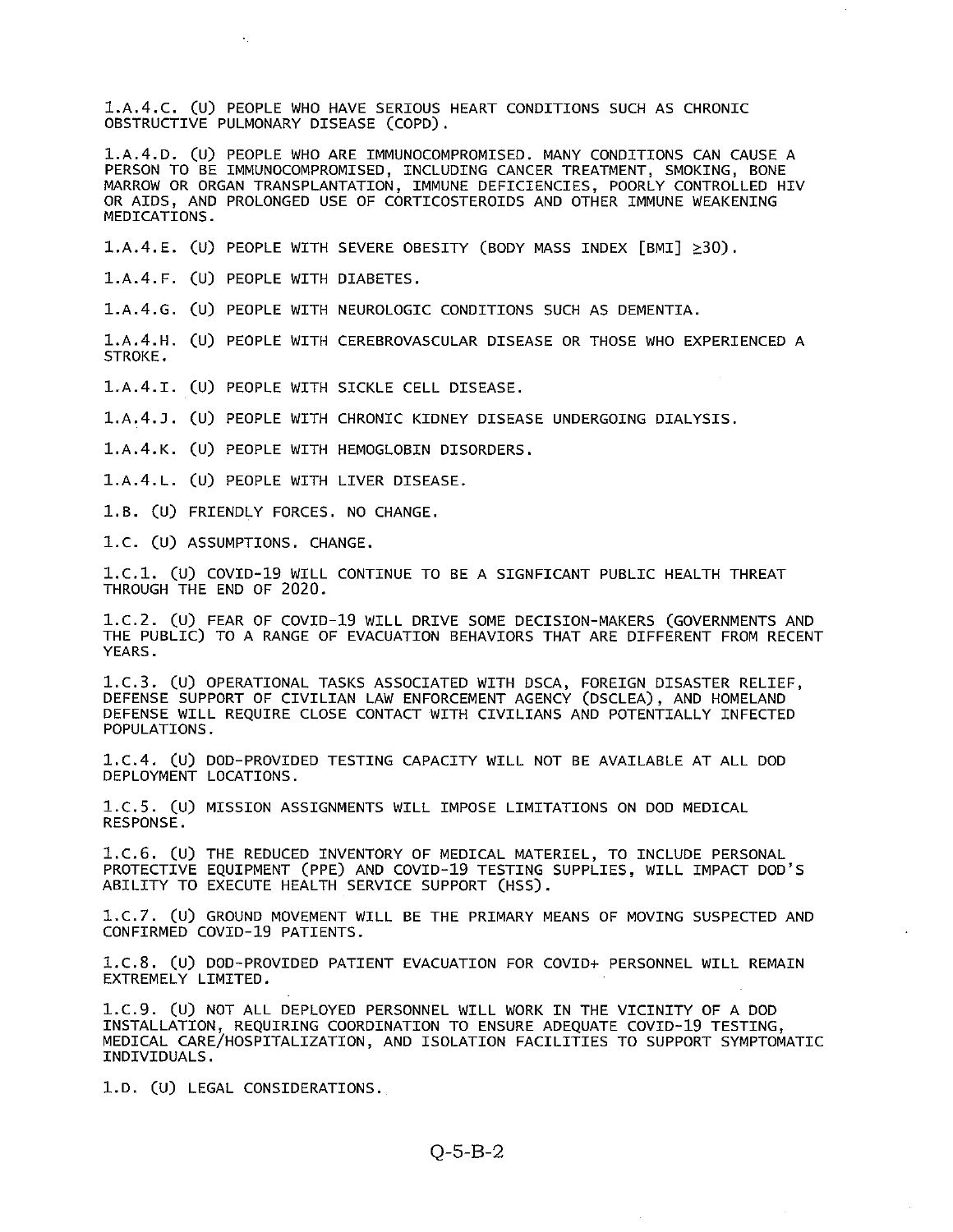1.A.4.C. (U) PEOPLE WHO HAVE SERIOUS HEART CONDITIONS SUCH AS CHRONIC OBSTRUCTIVE PULMONARY DISEASE (C0PD).

1.A.4.D. (U) PEOPLE WHO ARE IMMUNOCOMPROMISED. MANY CONDITIONS CAN CAUSE <sup>A</sup> PERSON TO BE IMMUNOCOMPROMISED, INCLUDING CANCER TREATMENT, SMOKING, BONE MARROW OR ORGAN TRANSPLANTATION, IMMUNE DEFICIENCIES, POORLY CONTROLLED HIV OR AIDS, AND PROLONGED USE OF CORTICOSTEROIDS AND OTHER IMMUNE WEAKENING MEDICATIONS.

1.A.4.E. (U) PEOPLE WITH SEVERE OBESITY (BODY MASS INDEX [BMIJ ≥3O).

l.A.4.F. (U) PEOPLE WITH DIABETES.

1.A.4.G. (U) PEOPLE WITH NEUROLOGIC CONDITIONS SUCH AS DEMENTIA.

1.A.4.H. (U) PEOPLE WITH CEREBROVASCULAR DISEASE OR THOSE WHO EXPERIENCED <sup>A</sup> STROKE.

1.A.4.I. (U) PEOPLE WITH SICKLE CELL DISEASE.

1.A.4.J. (U) PEOPLE WITH CHRONIC KIDNEY DISEASE UNDERGOING DIALYSIS.

1.A.4.K. (U) PEOPLE WITH HEMOGLOBIN DISORDERS.

1.A.4.L. (U) PEOPLE WITH LIVER DISEASE.

1.B. (U) FRIENDLY FORCES. NO CHANGE.

1.C. (U) ASSUMPTIONS. CHANGE.

1.C.1. (U) COVID-19 WILL CONTINUE TO BE A SIGNFICANT PUBLIC HEALTH THREAT THROUGH THE END OF 2020.

1.C.2. (U) FEAR OF COVID-19 WILL DRIVE SOME DECISION-MAKERS (GOVERNMENTS AND THE PUBLIC) TO A RANGE OF EVACUATION BEHAVIORS THAT ARE DIFFERENT FROM RECENT YEARS.

1.C.3. (U) OPERATIONAL TASKS ASSOCIATED WITH DSCA, FOREIGN DISASTER RELIEF, DEFENSE SUPPORT OF CIVILIAN LAW ENFORCEMENT AGENCY (DSCLEA), AND HOMELAND DEFENSE WILL REQUIRE CLOSE CONTACT WITH CIVILIANS AND POTENTIALLY INFECTED POPULATIONS.

1.C.4. (U) DOD-PROVIDED TESTING CAPACITY WILL NOT BE AVAILABLE AT ALL DOD DEPLOYMENT LOCATIONS.

1.C.5. (U) MISSION ASSIGNMENTS WILL IMPOSE LIMITATIONS ON DOD MEDICAL RESPONSE.

1.C.6. (U) THE REDUCED INVENTORY OF MEDICAL MATERIEL, TO INCLUDE PERSONAL PROTECTIVE EQUIPMENT (PPE) AND COVID-19 TESTING SUPPLIES, WILL IMPACT DOD'S ABILITY TO EXECUTE HEALTH SERVICE SUPPORT (HSS).

1.C.7. (U) GROUND MOVEMENT WILL BE THE PRIMARY MEANS OF MOVING SUSPECTED AND CONFIRMED COVID-19 PATIENTS.

1.C.8. (U) DOD-PROVIDED PATIENT EVACUATION FOR COVID+ PERSONNEL WILL REMAIN EXTREMELY LIMITED.

1.C.9. (U) NOT ALL DEPLOYED PERSONNEL WILL WORK IN THE VICINITY OF <sup>A</sup> DOD INSTALLATION, REQUIRING COORDINATION TO ENSURE ADEQUATE COVID-19 TESTING, MEDICAL CARE/HOSPITALIZATION, AND ISOLATION FACILITIES TO SUPPORT SYMPTOMATIC INDIVIDUALS.

1.D. (U) LEGAL CONSIDERATIONS.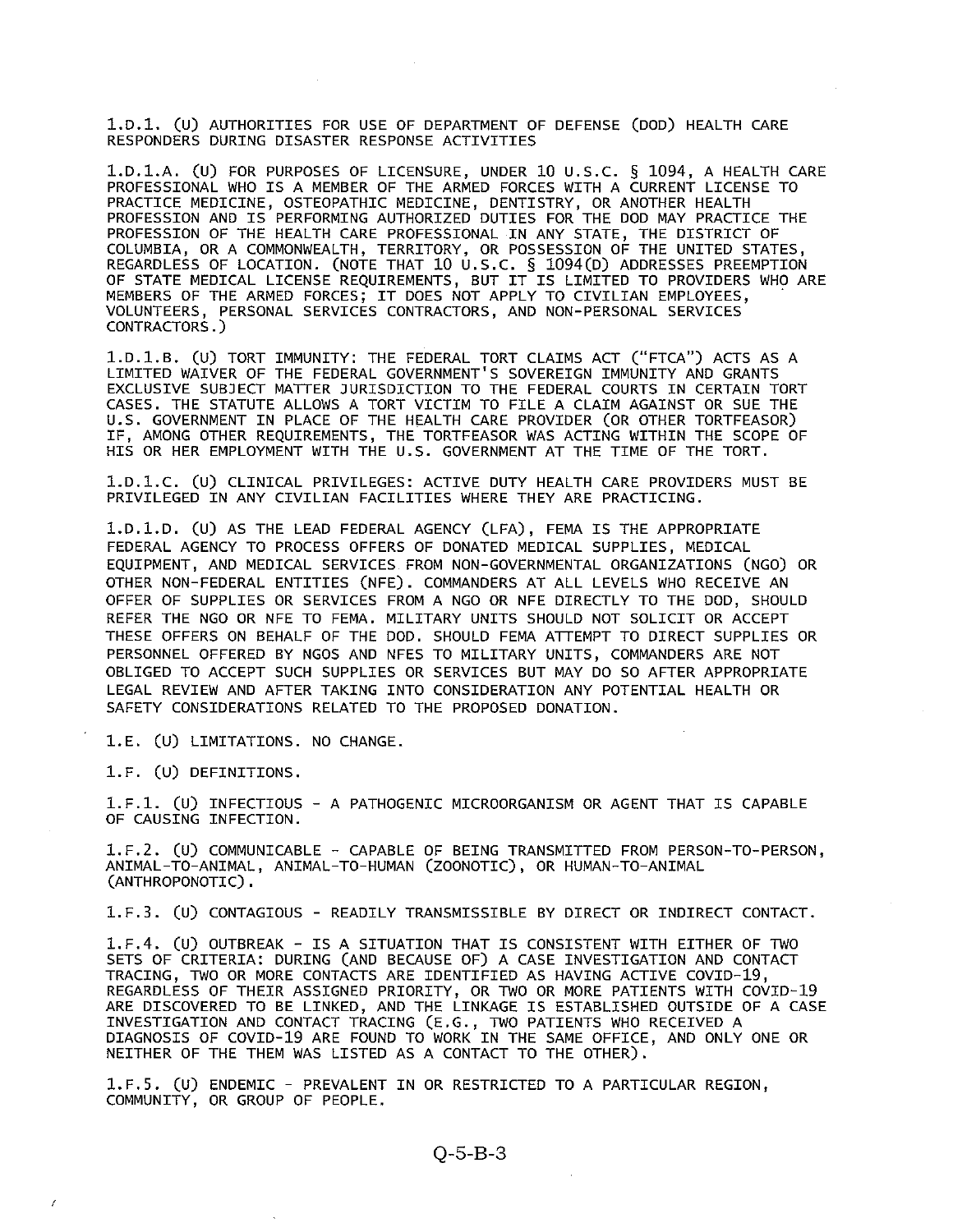l.D.l. (U) AUTHORITIES FOR USE OF DEPARTMENT OF DEFENSE (DOD) HEALTH CARE RESPONDERS DURING DISASTER RESPONSE ACTIVITIES

1.D.1.A. (U) FOR PURPOSES OF LICENSURE, UNDER 10 U.S.C. § 1094, <sup>A</sup> HEALTH CARE PROFESSIONAL WHO IS A MEMBER OF THE ARMED FORCES WITH A CURRENT LICENSE TO PRACTICE MEDICINE, OSTEOPATHIC MEDICINE, DENTISTRY, OR ANOTHER HEALTH PROFESSION AND IS PERFORMING AUTHORIZED DUTIES FOR THE DOD MAY PRACTICE THE PROFESSION OF THE HEALTH CARE PROFESSIONAL IN ANY STATE, THE DISTRICT OF COLUMBIA, OR A COMMONWEALTH, TERRITORY, OR POSSESSION OF THE UNITED STATES, REGARDLESS OF LOCATION. (NOTE THAT 10 U.S.C. § 1094(D) ADDRESSES PREEMPTION OF STATE MEDICAL LICENSE REQUIREMENTS, BUT IT IS LIMITED TO PROVIDERS WHO ARE MEMBERS OF THE ARMED FORCES; IT DOES NOT APPLY TO CIVILIAN EMPLOYEES, VOLUNTEERS, PERSONAL SERVICES CONTRACTORS, AND NON-PERSONAL SERVICES CONTRACTORS.)

1.D.1.B. (U) TORT IMMUNITY: THE FEDERAL TORT CLAIMS ACT ("FTCA") ACTS AS <sup>A</sup> LIMITED WAIVER OF THE FEDERAL GOVERNMENT'S SOVEREIGN IMMUNITY AND GRANTS EXCLUSIVE SUBJECT MATTER JURISDICTION TO THE FEDERAL COURTS IN CERTAIN TORT CASES. THE STATUTE ALLOWS A TORT VICTIM TO FILE A CLAIM AGAINST OR SUE THE U.S. GOVERNMENT IN PLACE OF THE HEALTH CARE PROVIDER (oR OTHER TORTFEASOR) IF, AMONG OTHER REQUIREMENTS, THE TORTFEASOR WAS ACTING WITHIN THE SCOPE OF HIS OR HER EMPLOYMENT WITH THE U.S. GOVERNMENT AT THE TIME OF THE TORT.

1.D.1.C. (U) CLINICAL PRIVILEGES: ACTIVE DUTY HEALTH CARE PROVIDERS MUST BE PRIVILEGED IN ANY CIVILIAN FACILITIES WHERE THEY ARE PRACTICING.

1.D.1.D. (U) AS THE LEAD FEDERAL AGENCY (LFA), FEMA IS THE APPROPRIATE FEDERAL AGENCY TO PROCESS OFFERS OF DONATED MEDICAL SUPPLIES, MEDICAL EQUIPMENT, AND MEDICAL SERVICES FROM NON-GOVERNMENTAL ORGANIZATIONS (NG0) OR OTHER NON-FEDERAL ENTITIES (NFE). COMMANDERS AT ALL LEVELS WHO RECEIVE AN OFFER OF SUPPLIES OR SERVICES FROM A NGO OR NFE DIRECTLY TO THE DOD, SHOULD REFER THE NGO OR NFE TO FEMA. MILITARY UNITS SHOULD NOT SOLICIT OR ACCEPT THESE OFFERS ON BEHALF OF THE DOD. SHOULD FEMA ATTEMPT TO DIRECT SUPPLIES OR PERSONNEL OFFERED BY NGOS AND NFES TO MILITARY UNITS, COMMANDERS ARE NOT OBLIGED TO ACCEPT SUCH SUPPLIES OR SERVICES BUT MAY DO SO AFTER APPROPRIATE LEGAL REVIEW AND AFTER TAKING INTO CONSIDERATION ANY POTENTIAL HEALTH OR SAFETY CONSIDERATIONS RELATED TO THE PROPOSED DONATION.

1.E. (U) LIMITATIONS. NO CHANGE.

i.F. (U) DEFINITIONS.

1.F.i. (U) INFECTIOUS - <sup>A</sup> PATHOGENIC MICROORGANISM OR AGENT THAT IS CAPABLE OF CAUSING INFECTION.

1.F.2. (U) COMMUNICABLE - CAPABLE OF BEING TRANSMITTED FROM PERSON-TO-PERSON, ANIMAL-TO-ANIMAL, ANIMAL-TO-HUMAN (Z00N0TIC), OR HUMAN-TO-ANIMAL (ANTHROPONOTIC).

1.F.3. (U) CONTAGIOUS - READILY TRANSMISSIBLE BY DIRECT OR INDIRECT CONTACT.

1.F.4. (U) OUTBREAK - IS <sup>A</sup> SITUATION THAT IS CONSISTENT WITH EITHER OF TWO SETS OF CRITERIA: DURING (AND BECAUSE OF) A CASE INVESTIGATION AND CONTACT TRACING, TWO OR MORE CONTACTS ARE IDENTIFIED AS HAVING ACTIVE COVID-19, REGARDLESS OF THEIR ASSIGNED PRIORITY, OR TWO OR MORE PATIENTS WITH COVID-19 ARE DISCOVERED TO BE LINKED, AND THE LINKAGE IS ESTABLISHED OUTSIDE OF A CASE INVESTIGATION AND CONTACT TRACING (E.G., TWO PATIENTS WHO RECEIVED <sup>A</sup> DIAGNOSIS OF COVID-19 ARE FOUND TO WORK IN THE SAME OFFICE, AND ONLY ONE OR NEITHER OF THE THEM WAS LISTED AS A CONTACT TO THE OTHER).

1.F.5. (U) ENDEMIC - PREVALENT IN OR RESTRICTED TO <sup>A</sup> PARTICULAR REGION, COMMUNITY, OR GROUP OF PEOPLE.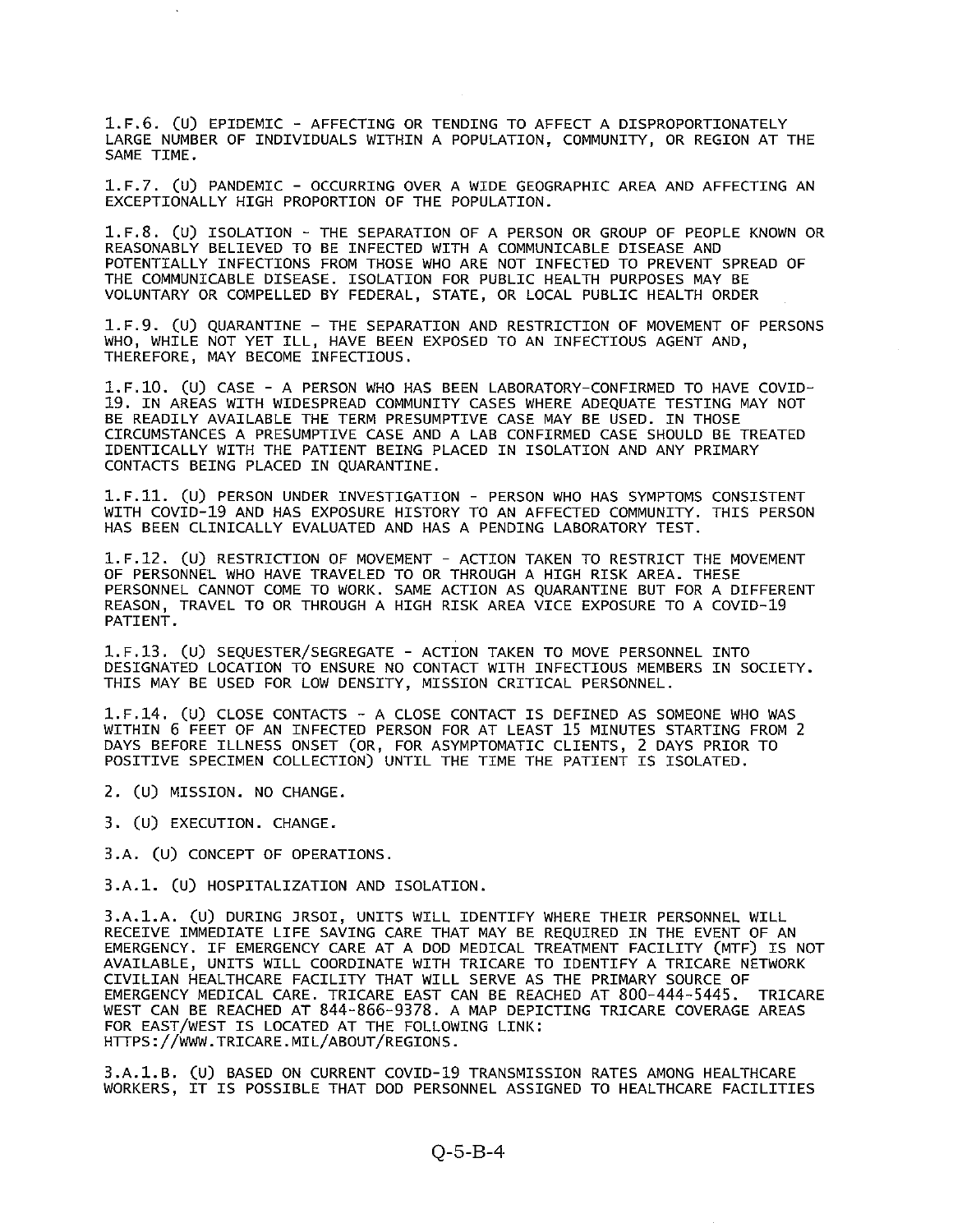1.F.6. (U) EPIDEMIC - AFFECTING OR TENDING TO AFFECT <sup>A</sup> DISPROPORTIONATELY LARGE NUMBER OF INDIVIDUALS WITHIN A POPULATION, COMMUNITY, OR REGION AT THE SAME TIME.

1.F.7. (U) PANDEMIC - OCCURRING OVER <sup>A</sup> WIDE GEOGRAPHIC AREA AND AFFECTING AN EXCEPTIONALLY HIGH PROPORTION OF THE POPULATION.

1.F.8. (U) ISOLATION - THE SEPARATION OF <sup>A</sup> PERSON OR GROUP OF PEOPLE KNOWN OR REASONABLY BELIEVED TO BE INFECTED WITH A COMMUNICABLE DISEASE AND POTENTIALLY INFECTIONS FROM THOSE WHO ARE NOT INFECTED TO PREVENT SPREAD OF THE COMMUNICABLE DISEASE. ISOLATION FOR PUBLIC HEALTH PURPOSES MAY BE VOLUNTARY OR COMPELLED BY FEDERAL, STATE, OR LOCAL PUBLIC HEALTH ORDER

1.F.9. (U) QUARANTINE — THE SEPARATION AND RESTRICTION OF MOVEMENT OF PERSONS WHO, WHILE NOT YET ILL, HAVE BEEN EXPOSED TO AN INFECTIOUS AGENT AND, THEREFORE, MAY BECOME INFECTIOUS.

1.F.1O. (U) CASE - A PERSON WHO HAS BEEN LABORATORY-CONFIRMED TO HAVE COVID 19. IN AREAS WITH WIDESPREAD COMMUNITY CASES WHERE ADEQUATE TESTING MAY NOT BE READILY AVAILABLE THE TERM PRESUMPTIVE CASE MAY BE USED. IN THOSE CIRCUMSTANCES A PRESUMPTIVE CASE AND A LAB CONFIRMED CASE SHOULD BE TREATED IDENTICALLY WITH THE PATIENT BEING PLACED IN ISOLATION AND ANY PRIMARY CONTACTS BEING PLACED IN QUARANTINE.

1.F.11. (U) PERSON UNDER INVESTIGATION - PERSON WHO HAS SYMPTOMS CONSISTENT WITH COVID-19 AND HAS EXPOSURE HISTORY TO AN AFFECTED COMMUNITY. THIS PERSON HAS BEEN CLINICALLY EVALUATED AND HAS A PENDING LABORATORY TEST.

1.F.12. (U) RESTRICTION OF MOVEMENT - ACTION TAKEN TO RESTRICT THE MOVEMENT OF PERSONNEL WHO HAVE TRAVELED TO OR THROUGH A HIGH RISK AREA. THESE PERSONNEL CANNOT COME TO WORK. SAME ACTION AS QUARANTINE BUT FOR A DIFFERENT REASON, TRAVEL TO OR THROUGH A HIGH RISK AREA VICE EXPOSURE TO A COVID-19 PATIENT.

1.F.13. (U) SEQUESTER/SEGREGATE - ACTiON TAKEN TO MOVE PERSONNEL INTO DESIGNATED LOCATION TO ENSURE NO CONTACT WITH INFECTIOUS MEMBERS IN SOCIETY. THIS MAY BE USED FOR LOW DENSITY, MISSION CRITICAL PERSONNEL.

1.F.14. (u) CLOSE CONTACTS - <sup>A</sup> CLOSE CONTACT IS DEFINED AS SOMEONE WHO WAS WITHIN 6 FEET OF AN INFECTED PERSON FOR AT LEAST 15 MINUTES STARTING FROM 2 DAYS BEFORE ILLNESS ONSET (OR, FOR ASYMPTOMATIC CLIENTS, 2 DAYS PRIOR TO POSITIVE SPECIMEN COLLECTION) UNTIL THE TIME THE PATIENT IS ISOLATED.

- 2. (U) MISSION. NO CHANGE.
- 3. (U) EXECUTION. CHANGE.
- 3.A. (U) CONCEPT OF OPERATIONS.

3.A.1. (U) HOSPITALIZATION AND ISOLATION.

3.A.1.A. (U) DURING ]RSOI, UNITS WILL IDENTIFY WHERE THEIR PERSONNEL WILL RECEIVE IMMEDIATE LIFE SAVING CARE THAT MAY BE REQUIRED IN THE EVENT OF AN EMERGENCY. IF EMERGENCY CARE AT A DOD MEDICAL TREATMENT FACILITY (MTF) IS NOT AVAILABLE, UNITS WILL COORDINATE WITH TRICARE TO IDENTIFY A TRICARE NETWORK CIVILIAN HEALTHCARE FACILITY THAT WILL SERVE AS THE PRIMARY SOURCE OF EMERGENCY MEDICAL CARE. TRICARE EAST CAN BE REACHED AT 800-444-5445. TRICARE WEST CAN BE REACHED AT 844-866-9378. A MAP DEPICTING TRICARE COVERAGE AREAS FOR EAST/WEST IS LOCATED AT THE FOLLOWING LINK: HTTPS : //WWW . TRICARE. MIL/ABOUT/REGIONS.

3.A.1.B. (U) BASED ON CURRENT COVID-19 TRANSMISSION RATES AMONG HEALTHCARE WORKERS, IT IS POSSIBLE THAT DOD PERSONNEL ASSIGNED TO HEALTHCARE FACILITIES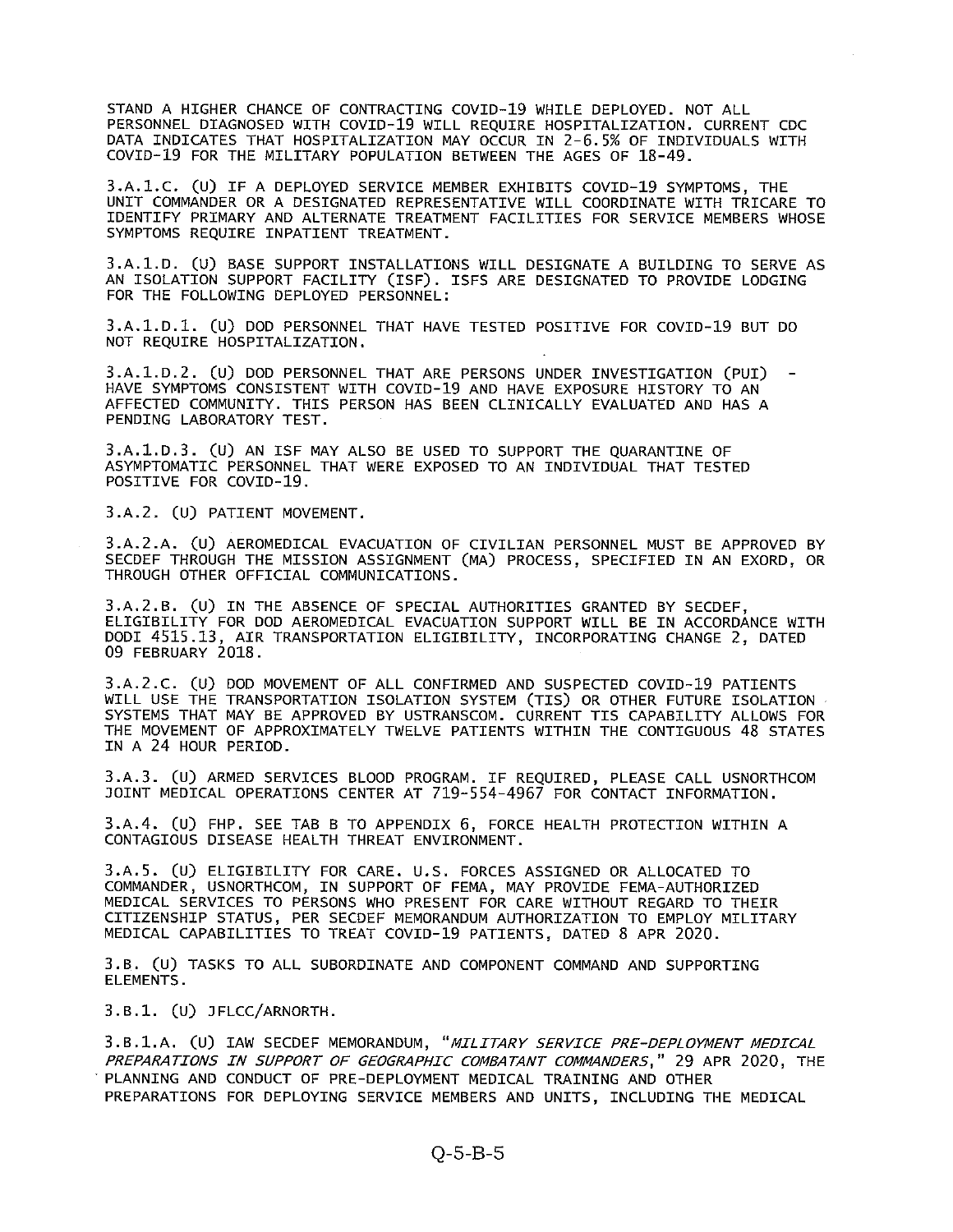STAND A HIGHER CHANCE OF CONTRACTING COVID-19 WHILE DEPLOYED. NOT ALL PERSONNEL DIAGNOSED WITH COVID-19 WILL REQUIRE HOSPITALIZATION. CURRENT CDC DATA INDICATES THAT HOSPITALIZATION MAY OCCUR IN 2-6.5% OF INDIVIDUALS WITH COVID-19 FOR THE MILITARY POPULATION BETWEEN THE ACES OF 18-49.

3.A.1.C. (U) IF <sup>A</sup> DEPLOYED SERVICE MEMBER EXHIBITS COVID-19 SYMPTOMS, THE UNIT COMMANDER OR A DESIGNATED REPRESENTATIVE WILL COORDINATE WITH TRICARE TO IDENTIFY PRIMARY AND ALTERNATE TREATMENT FACILITIES FOR SERVICE MEMBERS WHOSE SYMPTOMS REQUIRE INPATIENT TREATMENT.

3.A.1.D. (U) BASE SUPPORT INSTALLATIONS WILL DESIGNATE A BUILDING TO SERVE AS AN ISOLATION SUPPORT FACILITY (1SF). ISFS ARE DESIGNATED TO PROVIDE LODGING FOR THE FOLLOWING DEPLOYED PERSONNEL:

3.A.1.D.1. (U) DOD PERSONNEL THAT HAVE TESTED POSITIVE FOR COVID-19 BUT DO NOT REQUIRE HOSPITALIZATION.

3.A.1.D.2. (U) DOD PERSONNEL THAT ARE PERSONS UNDER INVESTIGATION (PUI) - HAVE SYMPTOMS CONSISTENT WITH COVID-19 AND HAVE EXPOSURE HISTORY TO AN AFFECTED COMMUNITY. THIS PERSON HAS BEEN CLINICALLY EVALUATED AND HAS A PENDING LABORATORY TEST.

3.A.1.D.3. (U) AN 1SF MAY ALSO BE USED TO SUPPORT THE QUARANTINE OF ASYMPTOMATIC PERSONNEL THAT WERE EXPOSED TO AN INDIVIDUAL THAT TESTED POSITIVE FOR COVID-19.

3.A.2. (U) PATIENT MOVEMENT.

3.A.2.A. (U) AEROMEDICAL EVACUATION OF CIVILIAN PERSONNEL MUST BE APPROVED BY SECDEF THROUGH THE MISSION ASSIGNMENT (MA) PROCESS, SPECIFIED IN AN EXORD, OR THROUGH OTHER OFFICIAL COMMUNICATIONS.

3.A.2.B. (U) IN THE ABSENCE OF SPECIAL AUTHORITIES GRANTED BY SECDEF, ELIGIBILITY FOR DOD AEROMEDICAL EVACUATION SUPPORT WILL BE IN ACCORDANCE WITH DODI 4515.13, AIR TRANSPORTATION ELIGIBILITY, INCORPORATING CHANGE 2, DATED 09 FEBRUARY 2018.

3.A.2.C. (U) DOD MOVEMENT OF ALL CONFIRMED AND SUSPECTED COVID-19 PATIENTS WILL USE THE TRANSPORTATION ISOLATION SYSTEM (TIS) OR OTHER FUTURE ISOLATION SYSTEMS THAT MAY BE APPROVED BY USTRANSCOM. CURRENT TIS CAPABILITY ALLOWS FOR THE MOVEMENT OF APPROXIMATELY TWELVE PATIENTS WITHIN THE CONTIGUOUS 48 STATES IN A 24 HOUR PERIOD.

3.A.3. (U) ARMED SERVICES BLOOD PROGRAM. IF REQUIRED, PLEASE CALL USNORTHCOM JOINT MEDICAL OPERATIONS CENTER AT 719-554-4967 FOR CONTACT INFORMATION.

3.A.4. (U) FHP. SEE TAB <sup>B</sup> TO APPENDIX 6, FORCE HEALTH PROTECTION WITHIN <sup>A</sup> CONTAGIOUS DISEASE HEALTH THREAT ENVIRONMENT.

3.A.5. (U) ELIGIBILITY FOR CARE. U.S. FORCES ASSIGNED OR ALLOCATED TO COMMANDER, USNORTHCOM, IN SUPPORT OF FEMA, MAY PROVIDE FEMA-AUTHORIZED MEDICAL SERVICES TO PERSONS WHO PRESENT FOR CARE WITHOUT REGARD TO THEIR CITIZENSHIP STATUS, PER SECDEF MEMORANDUM AUTHORIZATION TO EMPLOY MILITARY MEDICAL CAPABILITIES TO TREAT COVID-19 PATIENTS, DATED 8 APR 2020.

3.B. (U) TASKS TO ALL SUBORDINATE AND COMPONENT COMMAND AND SUPPORTING ELEMENTS.

3.B.1. (U) JFLCC/ARNORTH.

3.B.1.A. (U) IAW SECDEF MEMORANDUM, "MILITARY SERVICE PRE-DEPLOYMENT MEDICAL PREPARATIONS IN SUPPORT OF GEOGRAPHIC COMBATANT COMMANDERS," 29 APR 2020, THE • PLANNING AND CONDUCT OF PRE-DEPLOYMENT MEDICAL TRAINING AND OTHER PREPARATIONS FOR DEPLOYING SERVICE MEMBERS AND UNITS, INCLUDING THE MEDICAL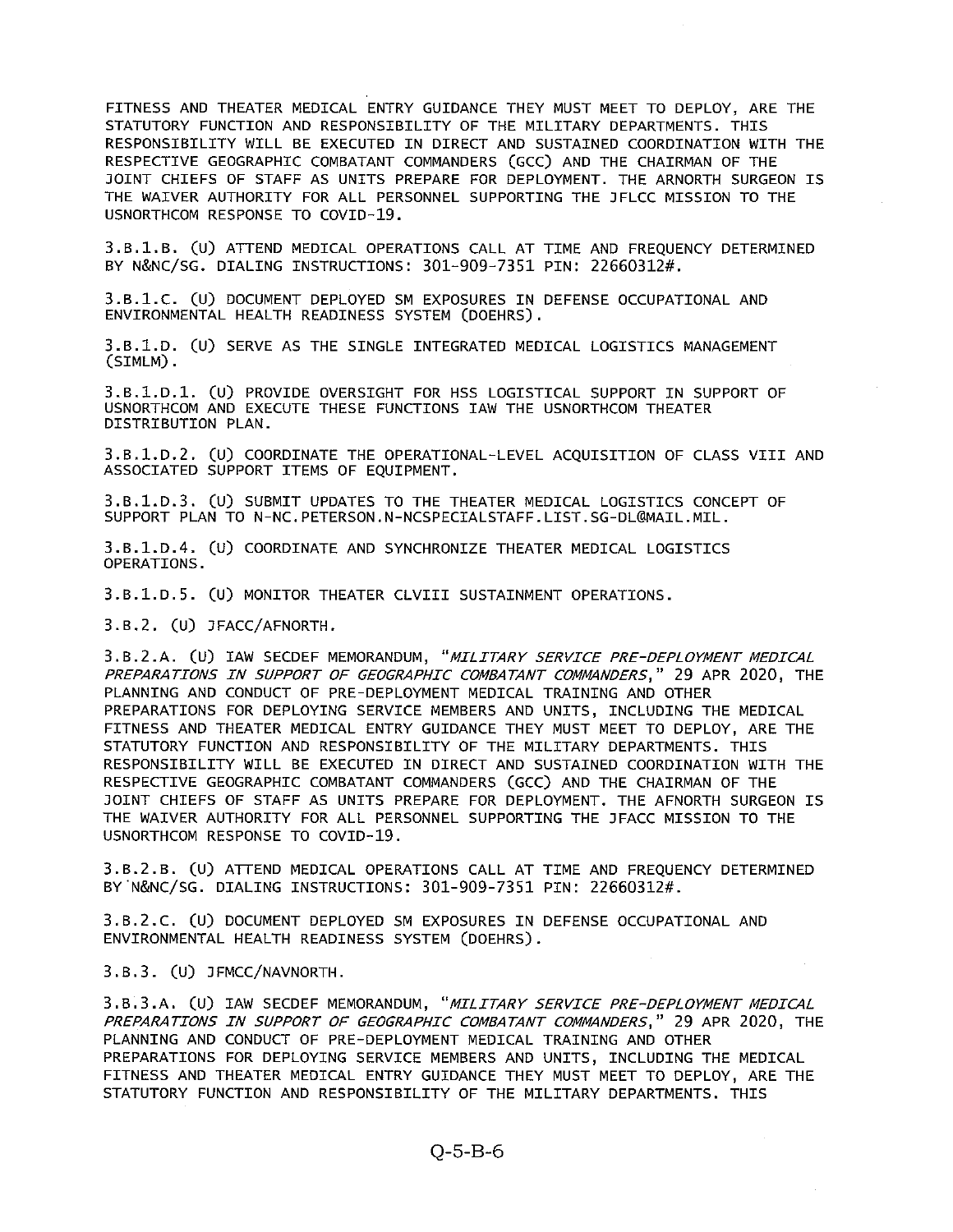FITNESS AND THEATER MEDICAL ENTRY GUIDANCE THEY MUST MEET TO DEPLOY, ARE THE STATUTORY FUNCTION AND RESPONSIBILITY OF THE MILITARY DEPARTMENTS. THIS RESPONSIBILITY WILL BE EXECUTED IN DIRECT AND SUSTAINED COORDINATION WITH THE RESPECTIVE GEOGRAPHIC COMBATANT COMMANDERS (GCC) AND THE CHAIRMAN OF THE JOINT CHIEFS OF STAFF AS UNITS PREPARE FOR DEPLOYMENT. THE ARNORTH SURGEON IS THE WAIVER AUTHORITY FOR ALL PERSONNEL SUPPORTING THE JFLCC MISSION TO THE USNORTHCOM RESPONSE TO COVID-19.

3.B.1.B. (U) ATTEND MEDICAL OPERATIONS CALL AT TIME AND FREQUENCY DETERMINED BY N&NC/SG. DIALING INSTRUCTIONS: 301-909-7351 PIN: 22660312#.

3.B.1.C. (U) DOCUMENT DEPLOYED SM EXPOSURES IN DEFENSE OCCUPATIONAL AND ENVIRONMENTAL HEALTH READINESS SYSTEM (DOEHRS).

3.B.1.D. (U) SERVE AS THE SINGLE INTEGRATED MEDICAL LOGISTICS MANAGEMENT (SIMLM).

3.B.1.D.1. (U) PROVIDE OVERSIGHT FOR HSS LOGISTICAL SUPPORT IN SUPPORT OF USNORTHCOM AND EXECUTE THESE FUNCTIONS lAW THE USNORTHCOM THEATER DISTRIBUTION PLAN.

3.B.1.D.2. (U) COORDINATE THE OPERATIONAL-LEVEL ACQUISITION OF CLASS VIII AND ASSOCIATED SUPPORT ITEMS OF EQUIPMENT.

3.B.1.D.3. (U) SUBMIT UPDATES TO THE THEATER MEDICAL LOGISTICS CONCEPT OF SUPPORT PLAN TO N-NC.PETERSON.N-NCSPECIALSTAFF.LIST.SG-DL@MAIL.MIL.

3.B.1.D.4. (U) COORDINATE AND SYNCHRONIZE THEATER MEDICAL LOGISTICS OPERATIONS.

3.B.1.D.5. (U) MONITOR THEATER CLVIII SUSTAINMENT OPERATIONS.

3.B.2. (U) JFACC/AFNORTH.

3.B.2.A. (U) IAW SECDEF MEMORANDUM, "MILITARY SERVICE PRE-DEPLOYMENT MEDICAL PREPARATIONS IN SUPPORT OF GEOGRAPHIC COMBATANT COMMANDERS," 29 APR 2020, THE PLANNING AND CONDUCT OF PRE-DEPLOYMENT MEDICAL TRAINING AND OTHER PREPARATIONS FOR DEPLOYING SERVICE MEMBERS AND UNITS, INCLUDING THE MEDICAL FITNESS AND THEATER MEDICAL ENTRY GUIDANCE THEY MUST MEET TO DEPLOY, ARE THE STATUTORY FUNCTION AND RESPONSIBILITY OF THE MILITARY DEPARTMENTS. THIS RESPONSIBILITY WILL BE EXECUTED IN DIRECT AND SUSTAINED COORDINATION WITH THE RESPECTIVE GEOGRAPHIC COMBATANT COMMANDERS (GCC) AND THE CHAIRMAN OF THE JOINT CHIEFS OF STAFF AS UNITS PREPARE FOR DEPLOYMENT. THE AFNORTH SURGEON IS THE WAIVER AUTHORITY FOR ALL PERSONNEL SUPPORTING THE JFACC MISSION TO THE USNORTHCOM RESPONSE TO COVID-19.

3.B.2.B. (U) ATTEND MEDICAL OPERATIONS CALL AT TIME AND FREQUENCY DETERMINED BY N&NC/SG. DIALING INSTRUCTIONS: 301-909-7351 PIN: 22660312#.

3.B.2.C. (U) DOCUMENT DEPLOYED SM EXPOSURES IN DEFENSE OCCUPATIONAL AND ENVIRONMENTAL HEALTH READINESS SYSTEM (DOEHRS).

3.B.3. (U) JFMCC/NAVNORTH.

3.B.3.A. (U) lAW SECDEF MEMORANDUM, "MILITARY SERVICE PRE-DEPLOYMENT MEDICAL PREPARATIONS IN SUPPORT OF GEOGRAPHIC COMBATANT COMMANDERS," 29 APR 2020, THE PLANNING AND CONDUCT OF PRE-DEPLOYMENT MEDICAL TRAINING AND OTHER PREPARATIONS FOR DEPLOYING SERVICE MEMBERS AND UNITS, INCLUDING THE MEDICAL FITNESS AND THEATER MEDICAL ENTRY GUIDANCE THEY MUST MEET TO DEPLOY, ARE THE STATUTORY FUNCTION AND RESPONSIBILITY OF THE MILITARY DEPARTMENTS. THIS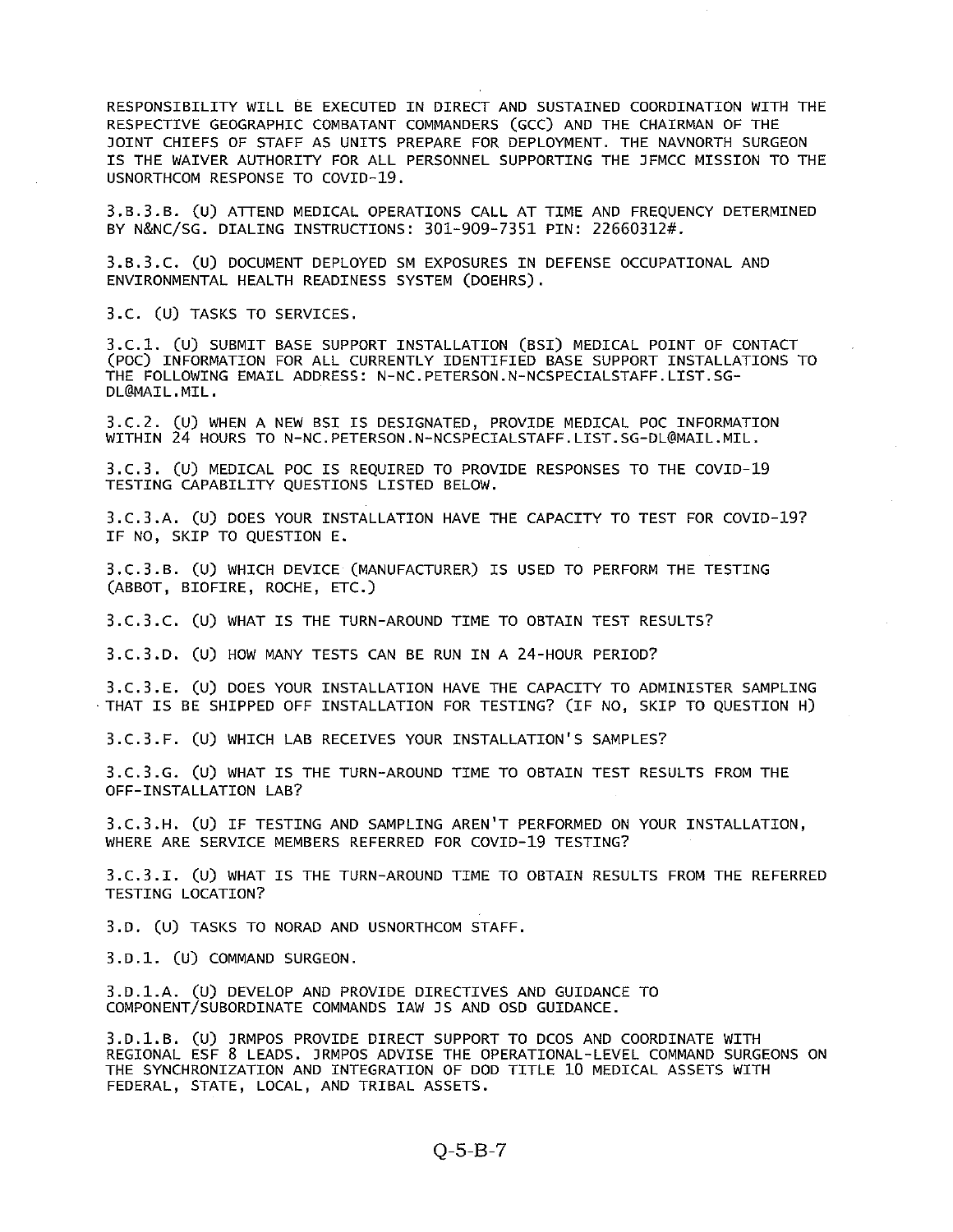RESPONSIBILITY WILL BE EXECUTED IN DIRECT AND SUSTAINED COORDINATION WITH THE RESPECTIVE GEOGRAPHIC COMBATANT COMMANDERS (CCC) AND THE CHAIRMAN OF THE JOINT CHIEFS OF STAFF AS UNITS PREPARE FOR DEPLOYMENT. THE NAVNORTH SURGEON IS THE WAIVER AUTHORITY FOR ALL PERSONNEL SUPPORTING THE JFMCC MISSION TO THE USNORTHCOM RESPONSE TO COVID-19.

3.B.3.B. (U) ATTEND MEDICAL OPERATIONS CALL AT TIME AND FREQUENCY DETERMINED BY N&NC/SG. DIALING INSTRUCTIONS: 301-909-7351 PIN: 22660312#.

3.B.3.C. (U) DOCUMENT DEPLOYED SM EXPOSURES IN DEFENSE OCCUPATIONAL AND ENVIRONMENTAL HEALTH READINESS SYSTEM (DOEHRS).

3.C. (U) TASKS TO SERVICES.

3.C.1. (U) SUBMIT BASE SUPPORT INSTALLATION (BSI) MEDICAL POINT OF CONTACT (P0C) INFORMATION FOR ALL CURRENTLY IDENTIFIED BASE SUPPORT INSTALLATIONS TO THE FOLLOWING EMAIL ADDRESS: N-NC. PETERSON.N-NCSPECIALSTAFF. LIST.SG DL@MAIL.MIL.

3.C.2. (U) WHEN A NEW BSI IS DESIGNATED, PROVIDE MEDICAL POC INFORMATION WITHIN 24 HOURS TO N-NC. PETERSON.N-NCSPECIALSTAFF. LIST.SG-DL@MAIL.MIL.

3.C.3. (U) MEDICAL POC IS REQUIRED TO PROVIDE RESPONSES TO THE COVID-19 TESTING CAPABILITY QUESTIONS LISTED BELOW.

3.C.3.A. (U) DOES YOUR INSTALLATION HAVE THE CAPACITY TO TEST FOR COVID-19? IF NO, SKIP TO QUESTION E.

3.C.3.B. (U) WHICH DEVICE (MANUFACTURER) IS USED TO PERFORM THE TESTING (ABBOT, BIOFIRE, ROCHE, ETC.)

3.C.3.C. (U) WHAT IS THE TURN-AROUND TIME TO OBTAIN TEST RESULTS?

3.C.3.D. (U) HOW MANY TESTS CAN BE RUN IN <sup>A</sup> 24-HOUR PERIOD?

3.C.3.E. (U) DOES YOUR INSTALLATION HAVE THE CAPACITY TO ADMINISTER SAMPLING THAT IS BE SHIPPED OFF INSTALLATION FOR TESTING? (IF NO, SKIP TO QUESTION H)

3.C.3.F. (U) WHICH LAB RECEIVES YOUR INSTALLATION'S SAMPLES?

3.C.3.G. (U) WHAT IS THE TURN-AROUND TIME TO OBTAIN TEST RESULTS FROM THE OFF-INSTALLATION LAB?

3.C.3.H. (U) IF TESTING AND SAMPLING AREN'T PERFORMED ON YOUR INSTALLATION, WHERE ARE SERVICE MEMBERS REFERRED FOR COVID-19 TESTING?

3.C.3.I. (U) WHAT IS THE TURN-AROUND TIME TO OBTAIN RESULTS FROM THE REFERRED TESTING LOCATION?

3.D. (U) TASKS TO NORAD AND USNORTHCOM STAFF.

3.D.1. (U) COMMAND SURGEON.

3.D.1.A. (U) DEVELOP AND PROVIDE DIRECTIVES AND GUIDANCE TO COMPONENT/SUBORDINATE COMMANDS lAW JS AND OSD GUIDANCE.

3.D.1.B. (U) JRMPOS PROVIDE DIRECT SUPPORT TO DCOS AND COORDINATE WITH REGIONAL ESF 8 LEADS. JRMPOS ADVISE THE OPERATIONAL-LEVEL COMMAND SURGEONS ON THE SYNCHRONIZATION AND INTEGRATION OF DOD TITLE 10 MEDICAL ASSETS WITH FEDERAL, STATE, LOCAL, AND TRIBAL ASSETS.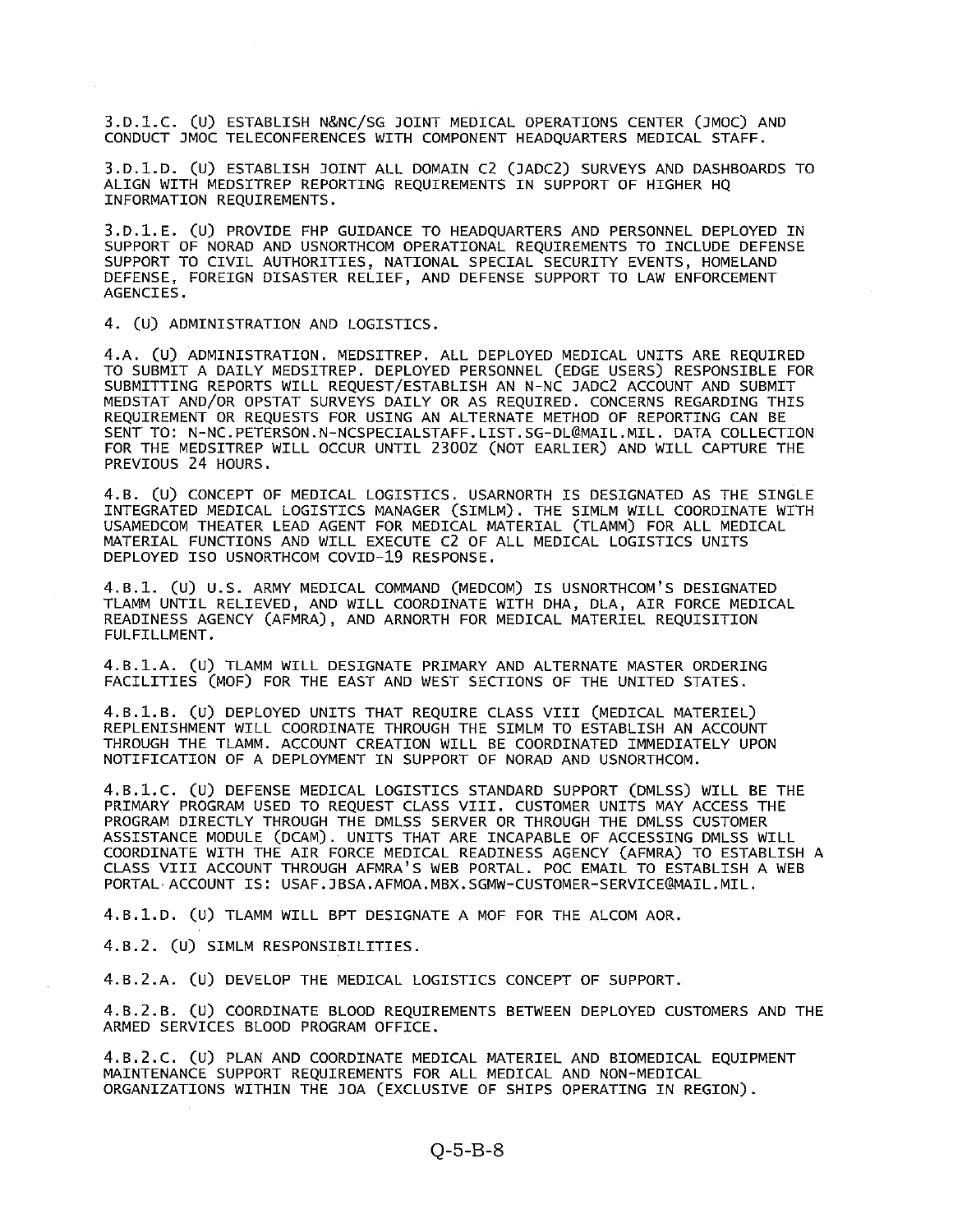3.D.l.C. (U) ESTABLISH N&NC/SG JOINT MEDICAL OPERATIONS CENTER (JMOC) AND CONDUCT JMOC TELECONFERENCES WITH COMPONENT HEADQUARTERS MEDICAL STAFF.

3.D.1.D. Cu) ESTABLISH JOINT ALL DOMAIN C2 (JADC2) SURVEYS AND DASHBOARDS TO ALIGN WITH MEDSITREP REPORTING REQUIREMENTS IN SUPPORT OF HIGHER HQ INFORMATION REQUIREMENTS.

3.D.1.E. (U) PROVIDE FHP GUIDANCE TO HEADQUARTERS AND PERSONNEL DEPLOYED IN SUPPORT OF NORAD AND USNORTHCOM OPERATIONAL REQUIREMENTS TO INCLUDE DEFENSE SUPPORT TO CIVIL AUTHORITIES, NATIONAL SPECIAL SECURITY EVENTS, HOMELAND DEFENSE, FOREIGN DISASTER RELIEF, AND DEFENSE SUPPORT TO LAW ENFORCEMENT AGENCIES.

4. (U) ADMINISTRATION AND LOGISTICS.

4.A. (U) ADMINISTRATION. MEDSITREP. ALL DEPLOYED MEDICAL UNITS ARE REQUIRED TO SUBMIT A DAILY MEDSITREP. DEPLOYED PERSONNEL (EDGE USERS) RESPONSIBLE FOR SUBMITTING REPORTS WILL REQUEST/ESTABLISH AN N-NC JADC2 ACCOUNT AND SUBMIT MEDSTAT AND/OR OPSTAT SURVEYS DAILY OR AS REQUIRED. CONCERNS REGARDING THIS REQUIREMENT OR REQUESTS FOR USING AN ALTERNATE METHOD OF REPORTING CAN BE SENT TO: N-NC.PETERSON.N-NCSPECIALSTAFF. LIST.SG-DL@MAIL.MIL. DATA COLLECTION FOR THE MEDSITREP WILL OCCUR UNTIL 2300Z (NOT EARLIER) AND WILL CAPTURE THE PREVIOUS 24 HOURS.

4.B. (U) CONCEPT OF MEDICAL LOGISTICS. USARNORTH IS DESIGNATED AS THE SINGLE INTEGRATED MEDICAL LOGISTICS MANAGER (SIMLM). THE SIMLM WILL COORDINATE WITH USAMEDCOM THEATER LEAD AGENT FOR MEDICAL MATERIAL (TLAMM) FOR ALL MEDICAL MATERIAL FUNCTIONS AND WILL EXECUTE C2 OF ALL MEDICAL LOGISTICS UNITS DEPLOYED ISO USNORTHCOM COVID-19 RESPONSE.

4.B.l. (U) U.S. ARMY MEDICAL COMMAND (MEDCOM) IS USNORTHCOM'S DESIGNATED TLAMM UNTIL RELIEVED, AND WILL COORDINATE WITH DHA, DLA, AIR FORCE MEDICAL READINESS AGENCY (AFMRA), AND ARNORTH FOR MEDICAL MATERIEL REQUISITION FULFILLMENT.

4.B.1.A. (U) TLAMM WILL DESIGNATE PRIMARY AND ALTERNATE MASTER ORDERING FACILITIES (M0F) FOR THE EAST AND WEST SECTIONS OF THE UNITED STATES.

4.B.1.B. (U) DEPLOYED UNITS THAT REQUIRE CLASS VIII (MEDICAL MATERIEL) REPLENISHMENT WILL COORDINATE THROUGH THE SIMLM TO ESTABLISH AN ACCOUNT THROUGH THE TLAMM. ACCOUNT CREATION WILL BE COORDINATED IMMEDIATELY UPON NOTIFICATION OF A DEPLOYMENT IN SUPPORT OF NORAD AND USNORTHCOM.

4.B.1.C. (U) DEFENSE MEDICAL LOGISTICS STANDARD SUPPORT (DMLSS) WILL BE THE PRIMARY PROGRAM USED TO REQUEST CLASS VIII. CUSTOMER UNITS MAY ACCESS THE PROGRAM DIRECTLY THROUGH THE DMLSS SERVER OR THROUGH THE DMLSS CUSTOMER ASSISTANCE MODULE (DCAM). UNITS THAT ARE INCAPABLE OF ACCESSING DMLSS WILL COORDINATE WITH THE AIR FORCE MEDICAL READINESS AGENCY (AFMRA) TO ESTABLISH A CLASS VIII ACCOUNT THROUGH AFMRA'S WEB PORTAL. POC EMAIL TO ESTABLISH <sup>A</sup> WEB PORTAL ACCOUNT IS: USAF.JBSA.AFMOA.MBX.SGMW-CUSTOMER-SERVICE@MAIL.MIL.

4.B.1.D. (U) TLAMM WILL BPT DESIGNATE <sup>A</sup> MOF FOR THE ALCOM AOR.

4.B.2. (U) SIMLM RESPONSIBILITIES.

4.B.2.A. (U) DEVELOP THE MEDICAL LOGISTICS CONCEPT OF SUPPORT.

4.B.2.B. (U) COORDINATE BLOOD REQUIREMENTS BETWEEN DEPLOYED CUSTOMERS AND THE ARMED SERVICES BLOOD PROGRAM OFFICE.

4.B.2.C. (U) PLAN AND COORDINATE MEDICAL MATERIEL AND BIOMEDICAL EQUIPMENT MAINTENANCE SUPPORT REQUIREMENTS FOR ALL MEDICAL AND NON-MEDICAL ORGANIZATIONS WITHIN THE JOA (EXCLUSIVE OF SHIPS OPERATING IN REGION).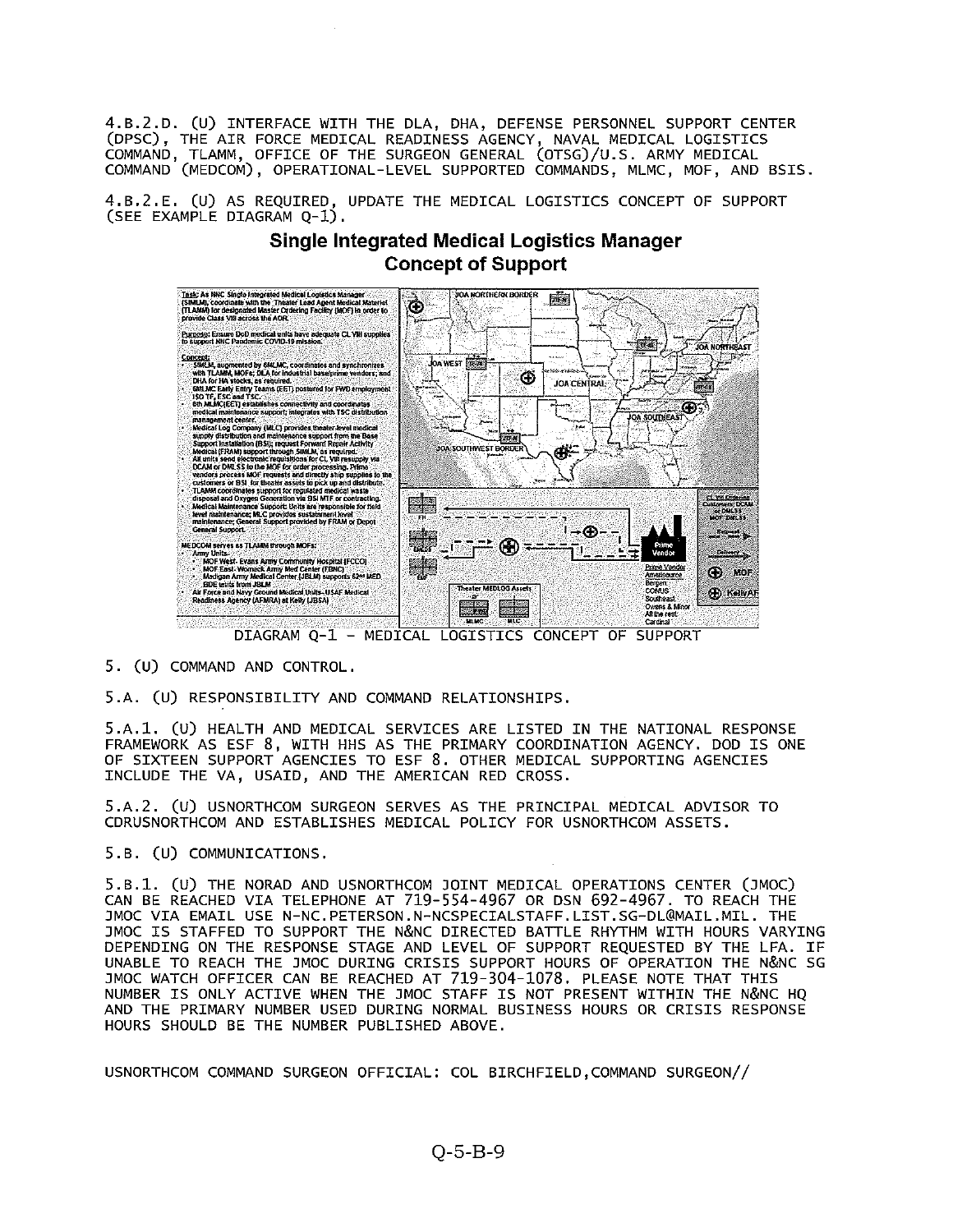4.B.2.D. (U) INTERFACE WITH THE DLA, DHA, DEFENSE PERSONNEL SUPPORT CENTER (DPsc), THE AIR FORCE MEDICAL READINESS AGENCY, NAVAL MEDICAL LOGISTICS COMMAND, TLAMM, OFFICE OF THE SURGEON GENERAL (OT5G)/u.S. ARMY MEDICAL COMMAND (MEDCOM), OPERATIONAL-LEVEL SUPPORTED COMMANDS, MLMC, MOF, AND BSIS.

4.B.2.E. (u) AS REQUIRED, UPDATE THE MEDICAL LOGISTICS CONCEPT OF SUPPORT (SEE EXAMPLE DIAGRAM Q-1).

# Single Integrated Medical Logistics Manager Concept of Support



DIAGRAM Q-1 - MEDICAL LOGISTICS CONCEPT OF SUPPORT

# 5. (U) COMMAND AND CONTROL.

5.A. (U) RESPONSIBILITY AND COMMAND RELATIONSHIPS.

5.A.1. (U) HEALTH AND MEDICAL SERVICES ARE LISTED IN THE NATIONAL RESPONSE FRAMEWORK AS ESF 8, WITH HHS AS THE PRIMARY COORDINATION AGENCY. DOD IS ONE OF SIXTEEN SUPPORT AGENCIES TO ESF 8. OTHER MEDICAL SUPPORTING AGENCIES INCLUDE THE VA, USAID, AND THE AMERICAN RED CROSS.

5.A.2. (U) USNORTHCOM SURGEON SERVES AS THE PRINCIPAL MEDICAL ADVISOR TO CDRUSNORTHCOM AND ESTABLISHES MEDICAL POLICY FOR USNORTHCOM ASSETS.

### 5.B. (U) COMMUNICATIONS.

5.B.1. (U) THE NORAD AND USNORTHCOM JOINT MEDICAL OPERATIONS CENTER (JMOC) CAN BE REACHED VIA TELEPHONE AT 719-554-4967 OR DSN 692-4967. TO REACH THE JMOC VIA EMAIL USE N-NC.PETERSON.N-NCSPECIALSTAFF.LIST.SG-DL@MAIL.MIL. THE JMOC IS STAFFED TO SUPPORT THE N&NC DIRECTED BATTLE RHYTHM WITH HOURS VARYING DEPENDING ON THE RESPONSE STAGE AND LEVEL OF SUPPORT REQUESTED BY THE LFA. IF UNABLE TO REACH THE JMOC DURING CRISIS SUPPORT HOURS OF OPERATION THE N&NC SG JMOC WATCH OFFICER CAN BE REACHED AT 719-304-1078. PLEASE NOTE THAT THIS NUMBER IS ONLY ACTIVE WHEN THE JMOC STAFF IS NOT PRESENT WITHIN THE N&NC HQ AND THE PRIMARY NUMBER USED DURING NORMAL BUSINESS HOURS OR CRISIS RESPONSE HOURS SHOULD BE THE NUMBER PUBLISHED ABOVE.

USNORTHCOM COMMAND SURGEON OFFICIAL: COL BIRCHFIELD,COMMAND SURGEON//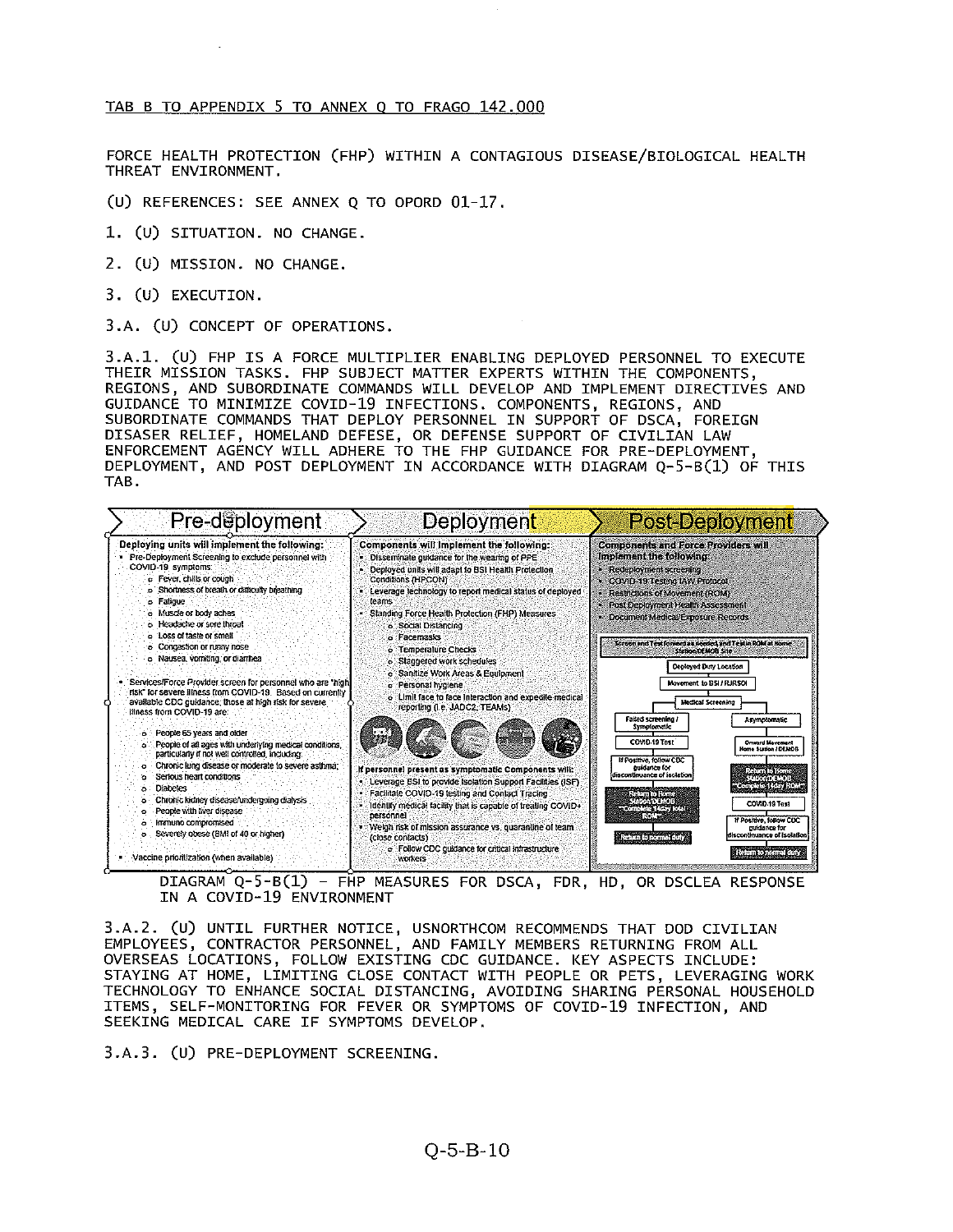#### TAB <sup>B</sup> TO APPENDIX <sup>5</sup> TO ANNEX 0 TO FRAGO 142.000

FORCE HEALTH PROTECTION (FHP) WITHIN A CONTAGIOUS DISEASE/BIOLOGICAL HEALTH THREAT ENVIRONMENT.

(U) REFERENCES: SEE ANNEX <sup>Q</sup> TO OPORD 01-17.

- 1. (u) SITUATION. NO CHANGE.
- 2. (U) MISSION. NO CHANGE.
- 3. (U) EXECUTION.

3.A. (U) CONCEPT OF OPERATIONS.

3.A.1. (U) FHP IS <sup>A</sup> FORCE MULTIPLIER ENABLING DEPLOYED PERSONNEL TO EXECUTE THEIR MISSION TASKS. FHP SUBJECT MATTER EXPERTS WITHIN THE COMPONENTS, REGIONS, AND SUBORDINATE COMMANDS WILL DEVELOP AND IMPLEMENT DIRECTIVES AND GUIDANCE TO MINIMIZE COVID-19 INFECTIONS. COMPONENTS, REGIONS, AND SUBORDINATE COMMANDS THAT DEPLOY PERSONNEL IN SUPPORT OF DSCA, FOREIGN DISASER RELIEF, HOMELAND DEFESE, OR DEFENSE SUPPORT OF CIVILIAN LAW ENFORCEMENT AGENCY WILL ADHERE TO THE FHP GUIDANCE FOR PRE-DEPLOYMENT, DEPLOYMENT, AND POST DEPLOYMENT IN ACCORDANCE WITH DIAGRAM Q-5-B(1) OF THIS TAB.



DIAGRAM Q-5-B(1) — FHP MEASURES FOR DSCA, FDR, HD, OR DSCLEA RESPONSE IN A COVID-19 ENVIRONMENT

3.A.2. (U) UNTIL FURTHER NOTICE, USNORTHCOM RECOMMENDS THAT DOD CIVILIAN EMPLOYEES, CONTRACTOR PERSONNEL, AND FAMILY MEMBERS RETURNING FROM ALL OVERSEAS LOCATIONS, FOLLOW EXISTING CDC GUIDANCE. KEY ASPECTS INCLUDE: STAYING AT HOME, LIMITING CLOSE CONTACT WITH PEOPLE OR PETS, LEVERAGING WORK TECHNOLOGY TO ENHANCE SOCIAL DISTANCING, AVOIDING SHARING PERSONAL HOUSEHOLD ITEMS, SELF-MONITORING FOR FEVER OR SYMPTOMS OF COVID-19 INFECTION, AND SEEKING MEDICAL CARE IF SYMPTOMS DEVELOP.

3.A.3. (U) PRE—DEPLOYMENT SCREENING.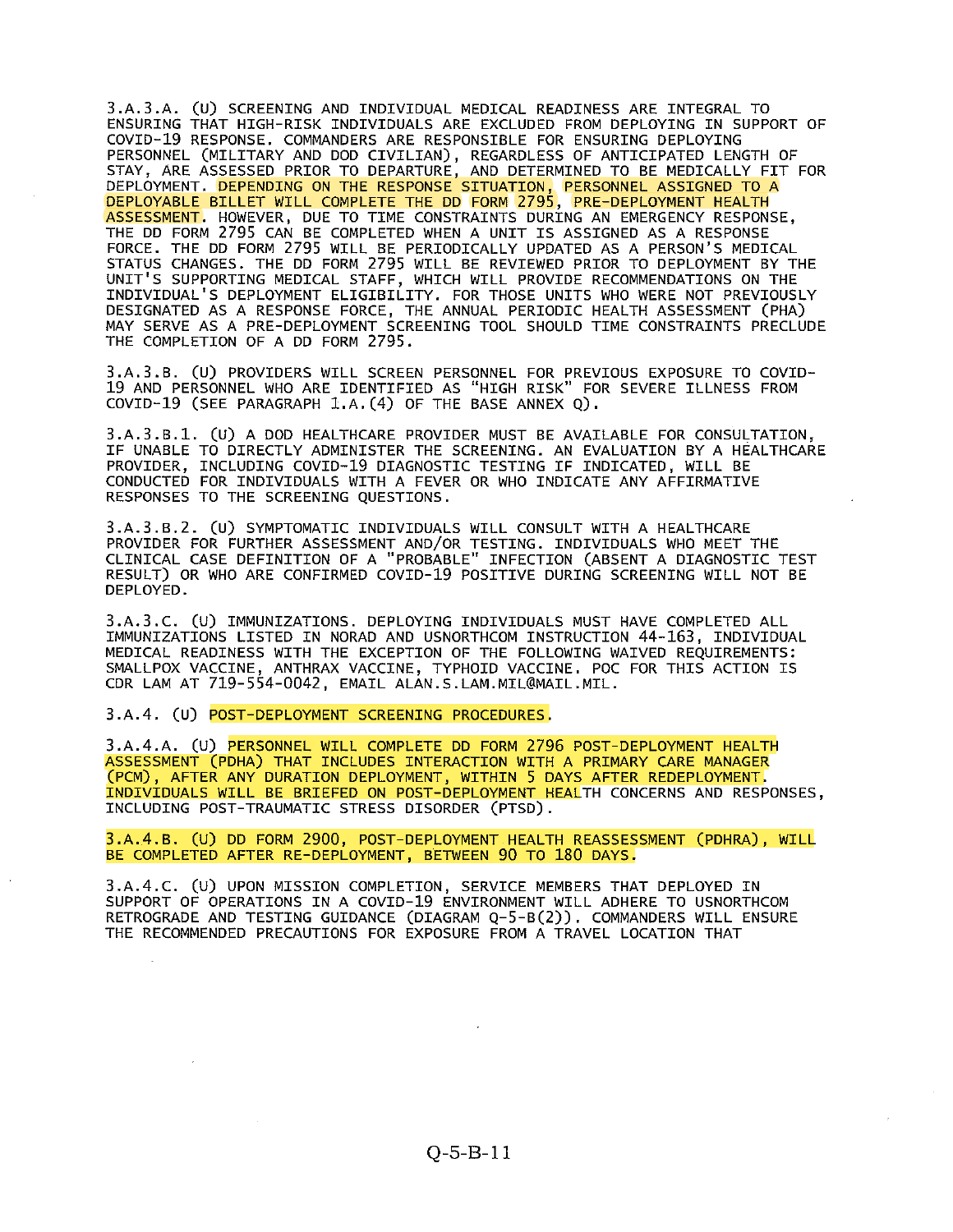3.A.3.A. (U) SCREENING AND INDIVIDUAL MEDICAL READINESS ARE INTEGRAL TO ENSURING THAT HIGH-RISK INDIVIDUALS ARE EXCLUDED FROM DEPLOYING IN SUPPORT OF COVID-19 RESPONSE. COMMANDERS ARE RESPONSIBLE FOR ENSURING DEPLOYING PERSONNEL (MILITARY AND DOD CIVILIAN), REGARDLESS OF ANTICIPATED LENGTH OF STAY, ARE ASSESSED PRIOR TO DEPARTURE, AND DETERMINED TO BE MEDICALLY FIT FOR DEPLOYMENT. DEPENDING ON THE RESPONSE SITUATION, PERSONNEL ASSIGNED TO A DEPLOYABLE BILLET WILL COMPLETE THE DD FORM 2795, PRE—DEPLOYMENT HEALTH ASSESSMENT. HOWEVER, DUE TO TIME CONSTRAINTS DURING AN EMERGENCY RESPONSE, THE DD FORM 2795 CAN BE COMPLETED WHEN A UNIT IS ASSIGNED AS A RESPONSE FORCE. THE DD FORM 2795 WILL BE PERIODICALLY UPDATED AS A PERSON'S MEDICAL STATUS CHANGES. THE DD FORM 2795 WILL BE REVIEWED PRIOR TO DEPLOYMENT BY THE UNIT'S SUPPORTING MEDICAL STAFF, WHICH WILL PROVIDE RECOMMENDATIONS ON THE INDIVIDUAL'S DEPLOYMENT ELIGIBILITY. FOR THOSE UNITS WHO WERE NOT PREVIOUSLY DESIGNATED AS A RESPONSE FORCE, THE ANNUAL PERIODIC HEALTH ASSESSMENT (PHA) MAY SERVE AS A PRE-DEPLOYMENT SCREENING TOOL SHOULD TIME CONSTRAINTS PRECLUDE THE COMPLETION OF A DD FORM 2795.

3.A.3.B. (U) PROVIDERS WILL SCREEN PERSONNEL FOR PREVIOUS EXPOSURE TO COVID 19 AND PERSONNEL WHO ARE IDENTIFIED AS "HIGH RISK" FOR SEVERE ILLNESS FROM COVID-19 (SEE PARAGRAPH 1.A.(4) OF THE BASE ANNEX Q).

3.A.3.B.1. (U) <sup>A</sup> DOD HEALTHCARE PROVIDER MUST BE AVAILABLE FOR CONSULTATION, IF UNABLE TO DIRECTLY ADMINISTER THE SCREENING. AN EVALUATION BY <sup>A</sup> HEALTHCARE PROVIDER, INCLUDING COVID-19 DIAGNOSTIC TESTING IF INDICATED, WILL BE CONDUCTED FOR INDIVIDUALS WITH A FEVER OR WHO INDICATE ANY AFFIRMATIVE RESPONSES TO THE SCREENING QUESTIONS.

3.A.3.B.2. (U) SYMPTOMATIC INDIVIDUALS WILL CONSULT WITH <sup>A</sup> HEALTHCARE PROVIDER FOR FURTHER ASSESSMENT AND/OR TESTING. INDIVIDUALS WHO MEET THE CLINICAL CASE DEFINITION OF A "PROBABLE" INFECTION (ABSENT A DIAGNOSTIC TEST RESULT) OR WHO ARE CONFIRMED COVID-19 POSITIVE DURING SCREENING WILL NOT BE DEPLOYED.

3.A.3.C. (U) IMMUNIZATIONS. DEPLOYING INDIVIDUALS MUST HAVE COMPLETED ALL IMMUNIZATIONS LISTED IN NORAD AND USNORTHCOM INSTRUCTION 44-163, INDIVIDUAL MEDICAL READINESS WITH THE EXCEPTION OF THE FOLLOWING WAIVED REQUIREMENTS: SMALLPOX VACCINE, ANTHRAX VACCINE, TYPHOID VACCINE. POC FOR THIS ACTION IS CDR LAM AT 719-554-0042, EMAIL ALAN.S.LAM.MIL@MAIL.MIL.

3.A.4. (U) POST-DEPLOYMENT SCREENING PROCEDURES.

3.A.4.A. (U) PERSONNEL WILL COMPLETE DD FORM 2796 POST-DEPLOYMENT HEALTH ASSESSMENT (PDHA) THAT INCLUDES INTERACTION WITH A PRIMARY CARE MANAGER (PCM), AFTER ANY DURATION DEPLOYMENT, WITHIN <sup>5</sup> DAYS AFTER REDEPLOYMENT. INDIVIDUALS WILL BE BRIEFED ON POST—DEPLOYMENT HEALTH CONCERNS AND RESPONSES, INCLUDING POST-TRAUMATIC STRESS DISORDER (PTSD).

3.A.4.B. (U) DD FORM 2900, POST-DEPLOYMENT HEALTH REASSESSMENT (PDHRA), WILL BE COMPLETED AFTER RE-DEPLOYMENT, BETWEEN 90 TO 180 DAYS.

3.A.4.C. (U) UPON MISSION COMPLETION, SERVICE MEMBERS THAT DEPLOYED IN SUPPORT OF OPERATIONS IN A COVID-19 ENVIRONMENT WILL ADHERE TO USNORTHCOM RETROGRADE AND TESTING GUIDANCE (DIAGRAM Q-5-B(2)). COMMANDERS WILL ENSURE THE RECOMMENDED PRECAUTIONS FOR EXPOSURE FROM A TRAVEL LOCATION THAT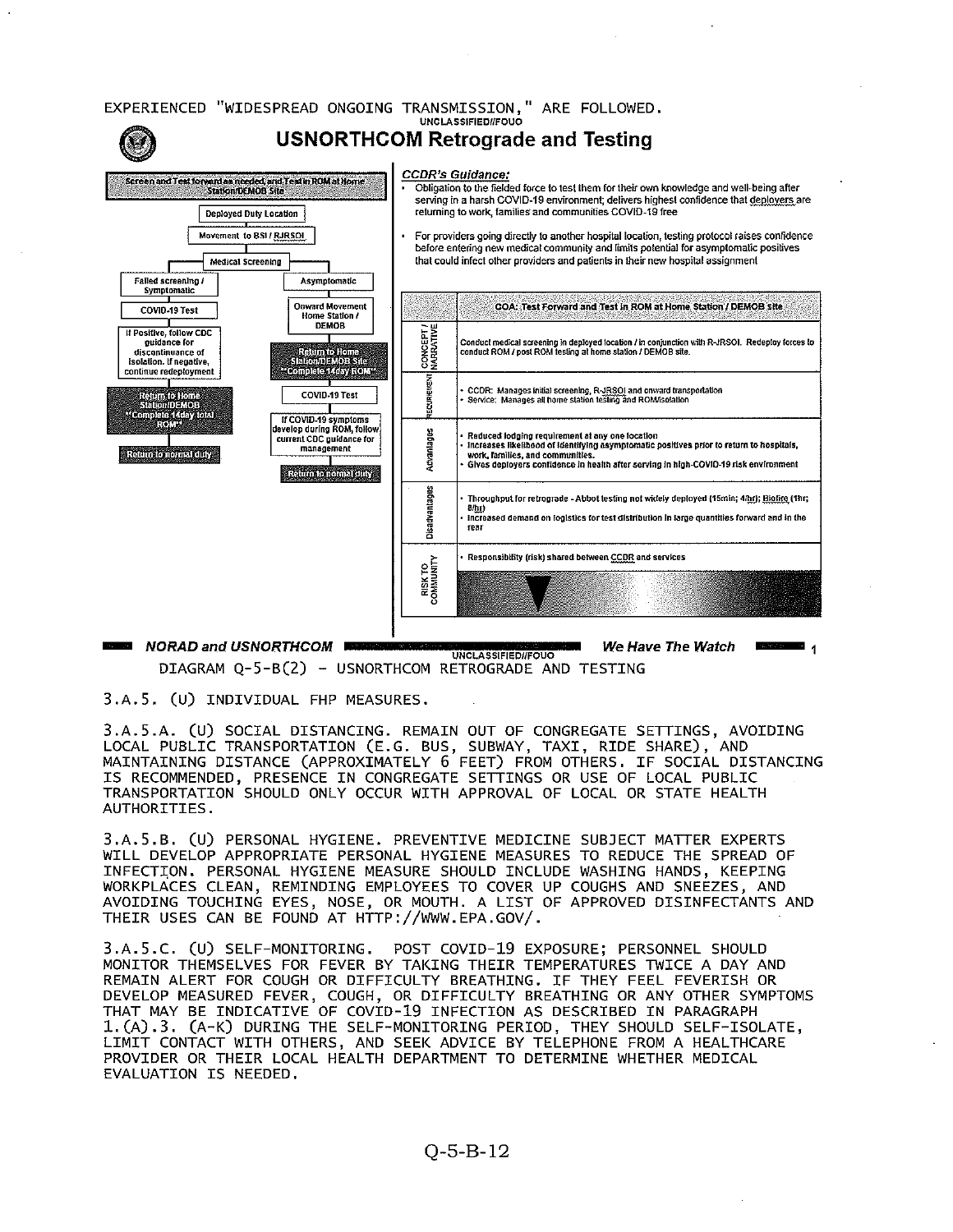

DIAGRAM Q-5-B(2) - USNORTHCOM RETROGRADE AND TESTING UNCLASSIFIED//FOUQ

3.A.5. (U) INDIVIDUAL FHP MEASURES.

3.A.S.A. (U) SOCIAL DISTANCING. REMAIN OUT OF CONGREGATE SETTINGS, AVOIDING LOCAL PUBLIC TRANSPORTATION (E.G. BUS, SUBWAY, TAXI, RIDE SHARE), AND MAINTAINING DISTANCE (APPROXIMATELY <sup>6</sup> FEET) FROM OTHERS. IF SOCIAL DISTANCING IS RECOMMENDED, PRESENCE IN CONGREGATE SETTINGS OR USE OF LOCAL PUBLIC TRANSPORTATION SHOULD ONLY OCCUR WITH APPROVAL OF LOCAL OR STATE HEALTH AUTHORITIES.

3.A.5.B. (U) PERSONAL HYGIENE. PREVENTIVE MEDICINE SUB3ECT MATTER EXPERTS WILL DEVELOP APPROPRIATE PERSONAL HYGIENE MEASURES TO REDUCE THE SPREAD OF INFECTION. PERSONAL HYGIENE MEASURE SHOULD INCLUDE WASHING HANDS, KEEPING WORKPLACES CLEAN, REMINDING EMPLOYEES TO COVER UP COUGHS AND SNEEZES, AND AVOIDING TOUCHING EYES, NOSE, OR MOUTH. A LIST OF APPROVED DISINFECTANTS AND THEIR USES CAN BE FOUND AT HTTP://WWW.EPA.GOV/.

3.A.5.C. (U) SELF—MONITORING. POST COVID—19 EXPOSURE; PERSONNEL SHOULD MONITOR THEMSELVES FOR FEVER BY TAKING THEIR TEMPERATURES TWICE A DAY AND REMAIN ALERT FOR COUGH OR DIFFICULTY BREATHING. IF THEY FEEL FEVERISH OR DEVELOP MEASURED FEVER, COUGH, OR DIFFICULTY BREATHING OR ANY OTHER SYMPTOMS THAT MAY BE INDICATIVE OF COVID-19 INFECTION AS DESCRIBED IN PARAGRAPH 1.(A).3. (A-K) DURING THE SELF-MONITORING PERIOD, THEY SHOULD SELF-ISOLATE, LIMIT CONTACT WITH OTHERS, AND SEEK ADVICE BY TELEPHONE FROM A HEALTHCARE PROVIDER OR THEIR LOCAL HEALTH DEPARTMENT TO DETERMINE WHETHER MEDICAL EVALUATION IS NEEDED.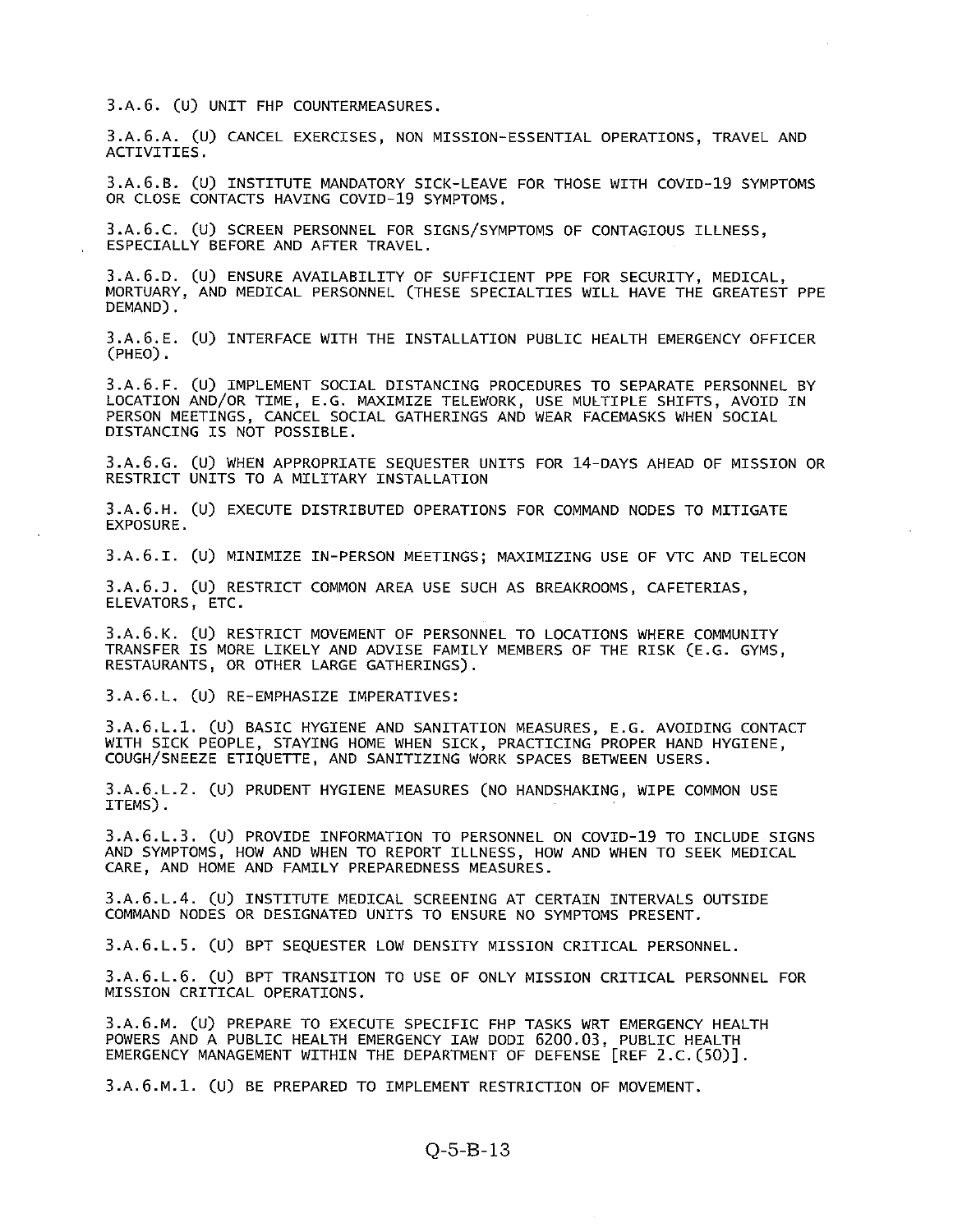3.A.6. (U) UNIT FHP COUNTERMEASURES.

3.A.6.A. (U) CANCEL EXERCISES, NON MISSION-ESSENTIAL OPERATIONS, TRAVEL AND ACTIVITIES.

3.A.6.B. (u) INSTITUTE MANDATORY SICK-LEAVE FOR THOSE WITH COVID-19 SYMPTOMS OR CLOSE CONTACTS HAVING COVID-19 SYMPTOMS.

3.A.6.C. (U) SCREEN PERSONNEL FOR SIGNS/SYMPTOMS OF CONTAGIOUS ILLNESS, ESPECIALLY BEFORE AND AFTER TRAVEL.

3.A.6.D. (U) ENSURE AVAILABILITY OF SUFFICIENT PPE FOR SECURITY, MEDICAL, MORTUARY, AND MEDICAL PERSONNEL (THESE SPECIALTIES WILL HAVE THE GREATEST PPE DEMAND).

3.A.6.E. (U) INTERFACE WITH THE INSTALLATION PUBLIC HEALTH EMERGENCY OFFICER (PHE0).

3.A.6.F. (U) IMPLEMENT SOCIAL DISTANCING PROCEDURES TO SEPARATE PERSONNEL BY LOCATION AND/OR TIME, E.G. MAXIMIZE TELEWORK, USE MULTIPLE SHIFTS, AVOID IN PERSON MEETINGS, CANCEL SOCIAL GATHERINGS AND WEAR FACEMASKS WHEN SOCIAL DISTANCING IS NOT POSSIBLE.

3.A.6.G. (U) WHEN APPROPRIATE SEQUESTER UNITS FOR 14-DAYS AHEAD OF MISSION OR RESTRICT UNITS TO A MILITARY INSTALLATION

3.A.6.H. (U) EXECUTE DISTRIBUTED OPERATIONS FOR COMMAND NODES TO MITIGATE EXPOSURE.

3.A.6.I. (U) MINIMIZE IN-PERSON MEETINGS; MAXIMIZING USE OF VTC AND TELECON

3.A.6.J. (U) RESTRICT COMMON AREA USE SUCH AS BREAKROOMS, CAFETERIAS, ELEVATORS, ETC.

3.A.6.K. (U) RESTRICT MOVEMENT OF PERSONNEL TO LOCATIONS WHERE COMMUNITY TRANSFER IS MORE LIKELY AND ADVISE FAMILY MEMBERS OF THE RISK (E.G. GYMS, RESTAURANTS, OR OTHER LARGE GATHERINGS).

3.A.6.L. (U) RE—EMPHASIZE IMPERATIVES:

3.A.6.L.1. (U) BASIC HYGIENE AND SANITATION MEASURES, E.G. AVOIDING CONTACT WITH SICK PEOPLE, STAYING HOME WHEN SICK, PRACTICING PROPER HAND HYGIENE, COUGH/SNEEZE ETIQUETTE, AND SANITIZING WORK SPACES BETWEEN USERS.

3.A.6.L.2. (U) PRUDENT HYGIENE MEASURES (NO HANDSHAKING, WIPE COMMON USE ITEMS).

3.A.6.L.3. (U) PROVIDE INFORMATION TO PERSONNEL ON COVID-19 TO INCLUDE SIGNS AND SYMPTOMS, HOW AND WHEN TO REPORT ILLNESS, HOW AND WHEN TO SEEK MEDICAL CARE, AND HOME AND FAMILY PREPAREDNESS MEASURES.

3.A.6.L.4. (U) INSTITUTE MEDICAL SCREENING AT CERTAIN INTERVALS OUTSIDE COMMAND NODES OR DESIGNATED UNITS TO ENSURE NO SYMPTOMS PRESENT.

3.A.6.L.5. (U) BPT SEQUESTER LOW DENSITY MISSION CRITICAL PERSONNEL.

3.A.6.L.6. (U) BPT TRANSITION TO USE OF ONLY MISSION CRITICAL PERSONNEL FOR MISSION CRITICAL OPERATIONS.

3.A.6.M. (U) PREPARE TO EXECUTE SPECIFIC FHP TASKS WRT EMERGENCY HEALTH POWERS AND A PUBLIC HEALTH EMERGENCY IAW DODI 6200.03, PUBLIC HEALTH EMERGENCY MANAGEMENT WITHIN THE DEPARTMENT OF DEFENSE [REF 2.C.(5O)].

3.A.6.M.1. (U) BE PREPARED TO IMPLEMENT RESTRICTION OF MOVEMENT.

# Q-5-B-13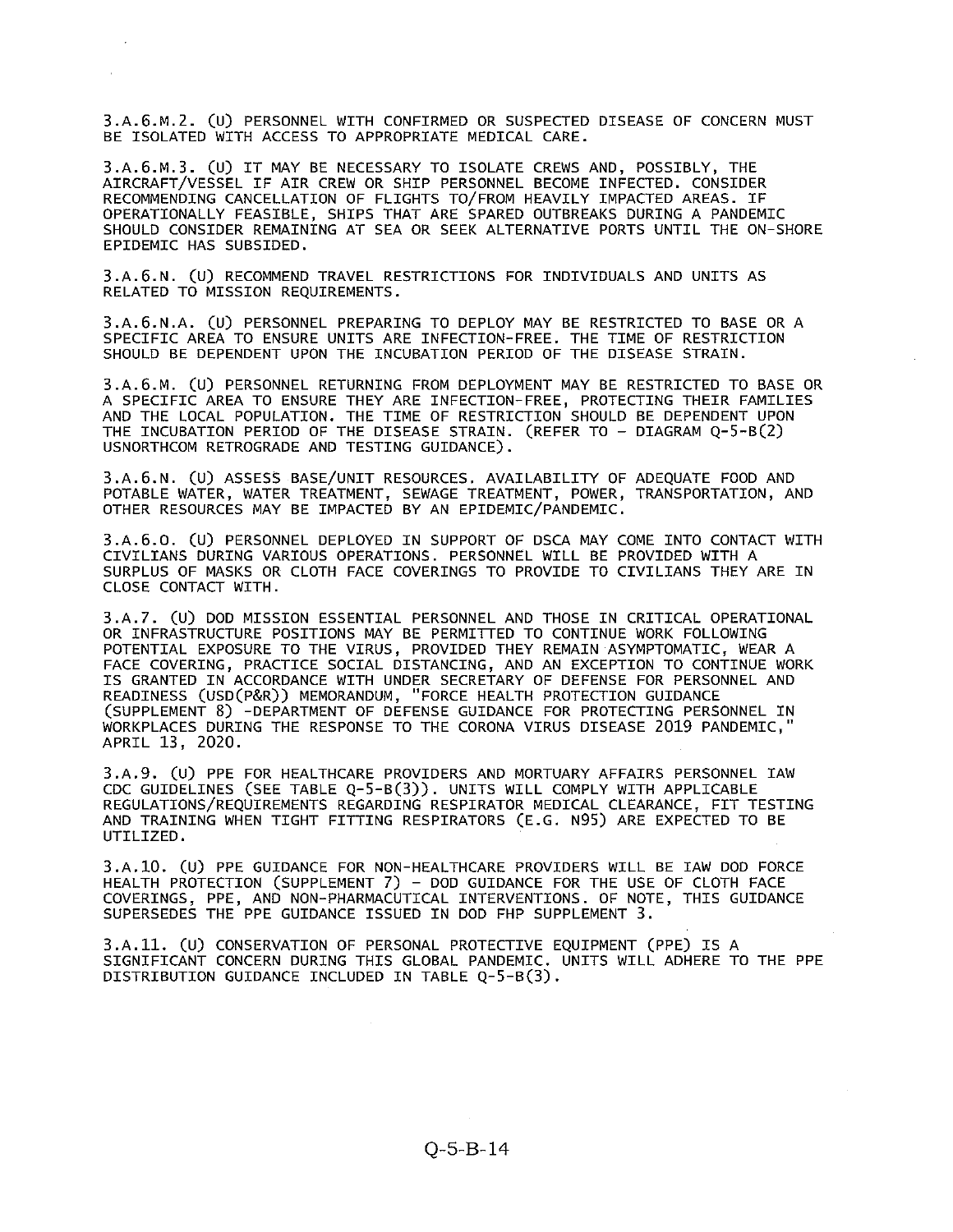3.A.6.M.2. (U) PERSONNEL WITH CONFIRMED OR SUSPECTED DISEASE OF CONCERN MUST BE ISOLATED WITH ACCESS TO APPROPRIATE MEDICAL CARE.

3.A.6.M.3. (U) IT MAY BE NECESSARY TO ISOLATE CREWS AND, POSSIBLY, THE AIRCRAFT/VESSEL IF AIR CREW OR SHIP PERSONNEL BECOME INFECTED. CONSIDER RECOMMENDING CANCELLATION OF FLIGHTS TO/FROM HEAVILY IMPACTED AREAS. IF OPERATIONALLY FEASIBLE, SHIPS THAT ARE SPARED OUTBREAKS DURING A PANDEMIC SHOULD CONSIDER REMAINING AT SEA OR SEEK ALTERNATIVE PORTS UNTIL THE ON-SHORE EPIDEMIC HAS SUBSIDED.

3.A.6.N. (U) RECOMMEND TRAVEL RESTRICTIONS FOR INDIVIDUALS AND UNITS AS RELATED TO MISSION REQUIREMENTS.

3.A.6.N.A. (U) PERSONNEL PREPARING TO DEPLOY MAY BE RESTRICTED TO BASE OR <sup>A</sup> SPECIFIC AREA TO ENSURE UNITS ARE INFECTION-FREE. THE TIME OF RESTRICTION SHOULD BE DEPENDENT UPON THE INCUBATION PERIOD OF THE DISEASE STRAIN.

3.A.6.M. (U) PERSONNEL RETURNING PROM DEPLOYMENT MAY BE RESTRICTED TO BASE OR A SPECIFIC AREA TO ENSURE THEY ARE INFECTION-FREE, PROTECTING THEIR FAMILIES AND THE LOCAL POPULATION. THE TIME OF RESTRICTION SHOULD BE DEPENDENT UPON THE INCUBATION PERIOD OF THE DISEASE STRAIN. (REFER TO — DIAGRAM Q-5-B(2) USNORTHCOM RETROGRADE AND TESTING GUIDANCE).

3.A.6.N. (U) ASSESS BASE/UNIT RESOURCES. AVAILABILITY OF ADEQUATE FOOD AND POTABLE WATER, WATER TREATMENT, SEWAGE TREATMENT, POWER, TRANSPORTATION, AND OTHER RESOURCES MAY BE IMPACTED BY AN EPIDEMIC/PANDEMIC.

3.A.6.O. (U) PERSONNEL DEPLOYED IN SUPPORT OF DSCA MAY COME INTO CONTACT WITH CIVILIANS DURING VARIOUS OPERATIONS. PERSONNEL WILL BE PROVIDED WITH A SURPLUS OF MASKS OR CLOTH FACE COVERINGS TO PROVIDE TO CIVILIANS THEY ARE IN CLOSE CONTACT WITH.

3.A.7. (U) DOD MISSION ESSENTIAL PERSONNEL AND THOSE IN CRITICAL OPERATIONAL OR INFRASTRUCTURE POSITIONS MAY BE PERMITTED TO CONTINUE WORK FOLLOWING POTENTIAL EXPOSURE TO THE VIRUS, PROVIDED THEY REMAIN ASYMPTOMATIC, WEAR A FACE COVERING, PRACTICE SOCIAL DISTANCING, AND AN EXCEPTION TO CONTINUE WORK IS GRANTED IN ACCORDANCE WITH UNDER SECRETARY OF DEFENSE FOR PERSONNEL AND READINESS (USD(P&R)) MEMORANDUM, "FORCE HEALTH PROTECTION GUIDANCE (SUPPLEMENT 8) -DEPARTMENT OF DEFENSE GUIDANCE FOR PROTECTING PERSONNEL IN WORKPLACES DURING THE RESPONSE TO THE CORONA VIRUS DISEASE 2019 PANDEMIC, APRIL 13, 2020.

3.A.9. (U) PPE FOR HEALTHCARE PROVIDERS AND MORTUARY AFFAIRS PERSONNEL lAW CDC GUIDELINES (SEE TABLE Q—5—B(3)). UNITS WILL COMPLY WITH APPLICABLE REGULATIONS/REQUIREMENTS REGARDING RESPIRATOR MEDICAL CLEARANCE, PIT TESTING AND TRAINING WHEN TIGHT FITTING RESPIRATORS (E.G. N95) ARE EXPECTED TO BE UTILIZED.

3.A.1O. (U) PPE GUIDANCE FOR NON-HEALTHCARE PROVIDERS WILL BE lAW DOD FORCE HEALTH PROTECTION (SUPPLEMENT 7) — DOD GUIDANCE FOR THE USE OF CLOTH FACE COVERINGS, PPE, AND NON-PHARMACUTICAL INTERVENTIONS. OF NOTE, THIS GUIDANCE SUPERSEDES THE PPE GUIDANCE ISSUED IN DOD FHP SUPPLEMENT 3.

3.A.11. (U) CONSERVATION OF PERSONAL PROTECTIVE EQUIPMENT (PPE) IS <sup>A</sup> SIGNIFICANT CONCERN DURING THIS GLOBAL PANDEMIC. UNITS WILL ADHERE TO THE PPE DISTRIBUTION GUIDANCE INCLUDED IN TABLE Q-5-B(3).

 $O-5- B-14$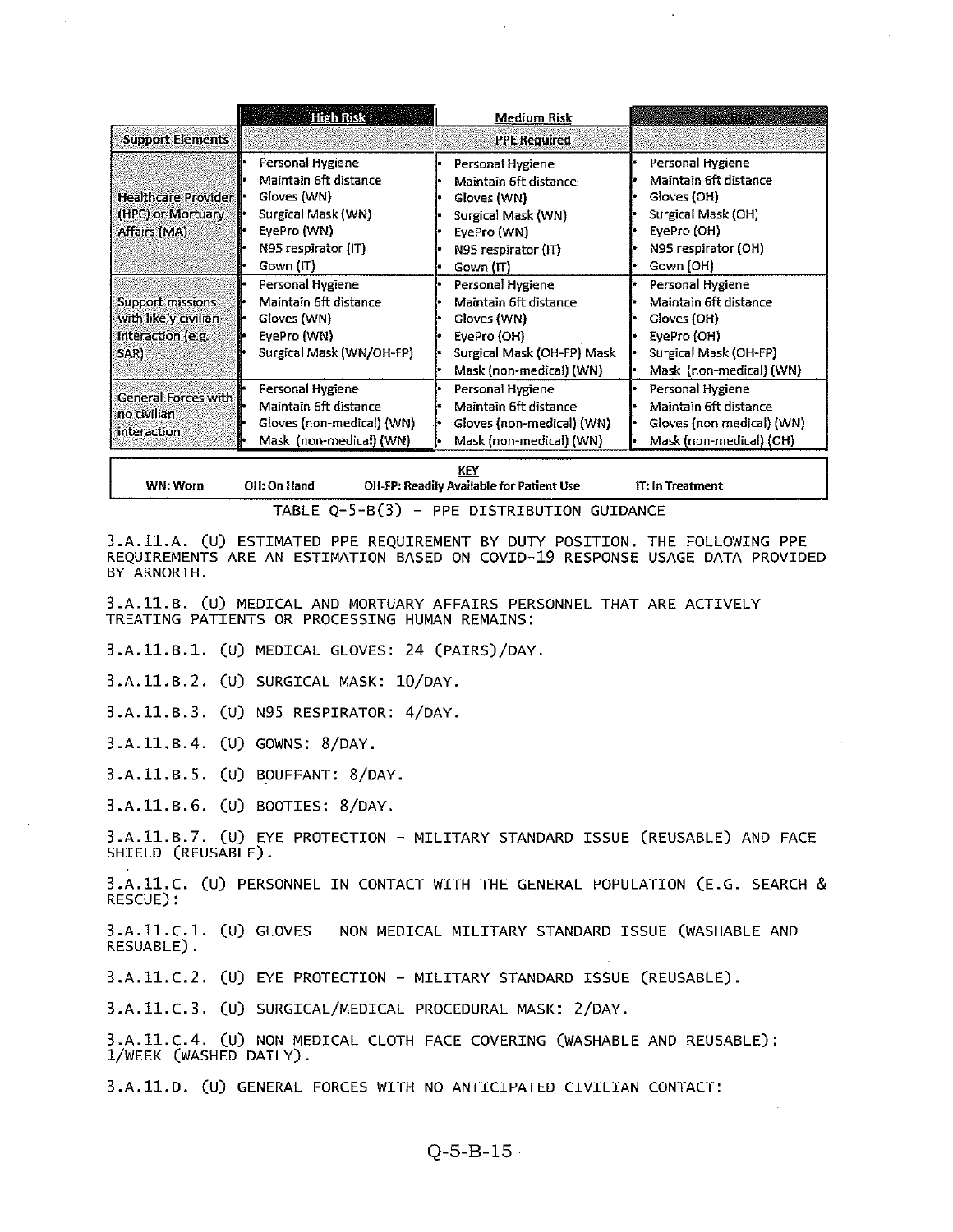|                                                                                      | <b>High Risk</b>                                                                                                                  | Medium Risk                                                                                                                       | RAZAR RISK                                                                                                                         |  |  |  |
|--------------------------------------------------------------------------------------|-----------------------------------------------------------------------------------------------------------------------------------|-----------------------------------------------------------------------------------------------------------------------------------|------------------------------------------------------------------------------------------------------------------------------------|--|--|--|
| <b>Support Elements</b>                                                              |                                                                                                                                   | <b>PPE Required</b>                                                                                                               |                                                                                                                                    |  |  |  |
| <b>Healthcare Provider</b><br>(HPC) or Mortuary<br>Affairs (MA)                      | Personal Hygiene<br>Maintain 6ft distance<br>Gloves (WN)<br>Surgical Mask (WN)<br>EyePro (WN)<br>N95 respirator (IT)<br>Gown (IT) | Personal Hygiene<br>Maintain 6ft distance<br>Gloves (WN)<br>Surgical Mask (WN)<br>EvePro (WN)<br>N95 respirator (IT)<br>Gown (IT) | Personal Hygiene<br>Maintain 6ft distance<br>Gloves (OH)<br>Surgical Mask (OH)<br>EvePro (OH)<br>N95 respirator (OH)<br>Govin (OH) |  |  |  |
| <b>Support missions</b><br>with likely civilian.<br>interaction (e.g.<br><b>SARI</b> | Personal Hygiene<br>Maintain 6ft distance<br>Gloves (WN)<br>EvePro (WN)<br>Surgical Mask (WN/OH-FP)                               | Personal Hygiene<br>Maintain 6ft distance<br>Gloves (WN)<br>EyePro (OH)<br>Surgical Mask (OH-FP) Mask<br>Mask (non-medical) (WN)  | Personal Hygiene<br>Maintain 6ft distance<br>Gloves (OH)<br>EyePro (OH)<br>Surgical Mask (OH-FP)<br>Mask (non-medical) (WN)        |  |  |  |
| <b>General Forces with</b><br>no civilian<br><b>interaction</b>                      | Personal Hygiene<br>Maintain 6ft distance<br>Gloves (non-medical) (WN)<br>Mask (non-medical) (WN)                                 | Personal Hygiene<br>Maintain 6ft distance<br>Gloves (non-medical) (WN)<br>Mask (non-medical) (WN)                                 | Personal Hygiene<br>Maintain 6ft distance<br>Gloves (non medical) (WN)<br>Mask (non-medical) (OH)                                  |  |  |  |
| KEY                                                                                  |                                                                                                                                   |                                                                                                                                   |                                                                                                                                    |  |  |  |

KEY WN: Worn OH: On Hand OH-FP: Readily Available for Patient Use IT: In Treatment

TABLE Q-5-B(3) — PPE DISTRIBUTION GUIDANCE

3.A.11.A. (u) ESTIMATED PPE REQUIREMENT BY DUTY POSITION. THE FOLLOWING PPE REQUIREMENTS ARE AN ESTIMATION BASED ON COVID-19 RESPONSE USAGE DATA PROVIDED BY ARNORTH.

3.A.11.B. (U) MEDICAL AND MORTUARY AFFAIRS PERSONNEL THAT ARE ACTIVELY TREATING PATIENTS OR PROCESSING HUMAN REMAINS:

3.A.11.B.1. (U) MEDICAL GLOVES: 24 (PAIRS)/DAY.

3.A.11.B.2. (U) SURGICAL MASK: 10/DAY.

3.A.11.B.3. (U) N95 RESPIRATOR: 4/DAY.

3.A.11.B.4. (U) GOWNS: 8/DAY.

3.A.11.B.5. (U) BOUFFANT: 8/DAY.

3.A.ll.B.6. (U) BOOTIES: 8/DAY.

3.A.11.B.7. (U) EYE PROTECTION — MILITARY STANDARD ISSUE (REUSABLE) AND FACE SHIELD (REUSABLE).

3.A.11.C. (U) PERSONNEL IN CONTACT WITH THE GENERAL POPULATION (E.G. SEARCH & RESCUE):

3.A.11.C.1. (U) GLOVES — NON-MEDICAL MILITARY STANDARD ISSUE (WASHABLE AND RESUABLE).

3.A.11.C.2. (U) EYE PROTECTION — MILITARY STANDARD ISSUE (REUSABLE).

3.A.11.C.3. (U) SURGICAL/MEDICAL PROCEDURAL MASK: 2/DAY.

3.A.11.C.4. (U) NON MEDICAL CLOTH FACE COVERING (WASHABLE AND REUSABLE): 1/WEEK (WASHED DAILY).

3.A.11.D. (u) GENERAL FORCES WITH NO ANTICIPATED CIVILIAN CONTACT:

# Q-5-B-15•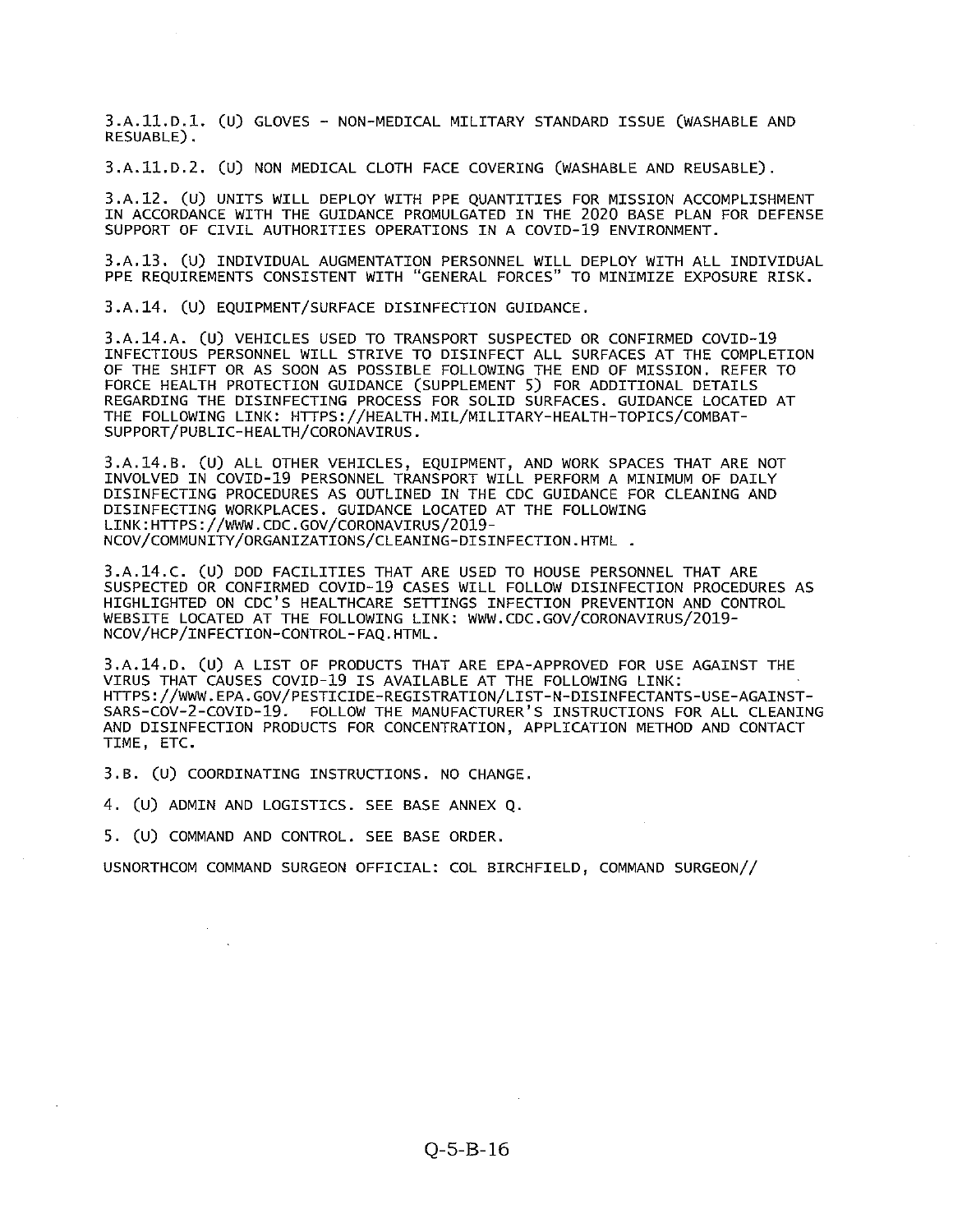3.A.11.D.1. (U) GLOVES — NON-MEDICAL MILITARY STANDARD ISSUE (WASHABLE AND RESUABLE).

3.A.11.D.2. (U) NON MEDICAL CLOTH FACE COVERING (WASHABLE AND REUSABLE).

3.A.12. (U) UNITS WILL DEPLOY WITH PPE QUANTITIES FOR MISSION ACCOMPLISHMENT IN ACCORDANCE WITH THE GUIDANCE PROMULGATED IN THE 2020 BASE PLAN FOR DEFENSE SUPPORT OF CIVIL AUTHORITIES OPERATIONS IN A COVID-19 ENVIRONMENT.

3.A.13. (U) INDIVIDUAL AUGMENTATION PERSONNEL WILL DEPLOY WITH ALL INDIVIDUAL PPE REQUIREMENTS CONSISTENT WITH "GENERAL FORCES" TO MINIMIZE EXPOSURE RISK.

3.A.14. (U) EQUIPMENT/SURFACE DISINFECTION GUIDANCE.

3.A.14.A. (U) VEHICLES USED TO TRANSPORT SUSPECTED OR CONFIRMED COVID-19 INFECTIOUS PERSONNEL WILL STRIVE TO DISINFECT ALL SURFACES AT THE COMPLETION OF THE SHIFT OR AS SOON AS POSSIBLE FOLLOWING THE END OF MISSION. REFER TO FORCE HEALTH PROTECTION GUIDANCE (SUPPLEMENT S) FOR ADDITIONAL DETAILS REGARDING THE DISINFECTING PROCESS FOR SOLID SURFACES. GUIDANCE LOCATED AT THE FOLLOWING LINK: HTTPS://HEALTH .MIL/MILITARY-HEALTH-TOPICS/COMBAT SUPPORT/PUBLIC-HEALTH/CORONAVIRUS.

3.A.14.B. (U) ALL OTHER VEHICLES, EQUIPMENT, AND WORK SPACES THAT ARE NOT INVOLVED IN COVID-19 PERSONNEL TRANSPORT WILL PERFORM A MINIMUM OF DAILY DISINFECTING PROCEDURES AS OUTLINED IN THE CDC GUIDANCE FOR CLEANING AND DISINFECTING WORKPLACES. GUIDANCE LOCATED AT THE FOLLOWING LINK: HTTPS : //www . CDC . GOV/CORONAVIRUS/2019- NCOV/COMMUNITY/ORGANIZATIONS/CLEANING-DISINFECTION. HTML

3.A.14.C. (U) DOD FACILITIES THAT ARE USED TO HOUSE PERSONNEL THAT ARE SUSPECTED OR CONFIRMED COVID-19 CASES WILL FOLLOW DISINFECTION PROCEDURES AS HIGHLIGHTED ON CDC'S HEALTHCARE SETTINGS INFECTION PREVENTION AND CONTROL WEBSITE LOCATED AT THE FOLLOWING LINK: WWW.CDC.GOV/CORONAVIRUS/2O19- NCOV/HCP/INFECTION-CONTROL-FAQ. HTML.

3.A.14.D. (U) <sup>A</sup> LIST OF PRODUCTS THAT ARE EPA-APPROVED FOR USE AGAINST THE VIRUS THAT CAUSES COVID-19 IS AVAILABLE AT THE FOLLOWING LINK: HTTPS ://~.wiW. EPA.GOV/PE5TICIDE-REGI5TRATION/LIST-N-DI5INFECTANT5-U5E-AGAIN5T-SARS-COV-2-COVID-19. FOLLOW THE MANUFACTURER'S INSTRUCTIONS FOR ALL CLEANING AND DISINFECTION PRODUCTS FOR CONCENTRATION, APPLICATION METHOD AND CONTACT TIME, ETC.

3.B. (U) COORDINATING INSTRUCTIONS. NO CHANGE.

4. (U) ADMIN AND LOGISTICS. SEE BASE ANNEX Q.

5. (U) COMMAND AND CONTROL. SEE BASE ORDER.

USNORTHCOM COMMAND SURGEON OFFICIAL: COL BIRCHFIELD, COMMAND SURGEON//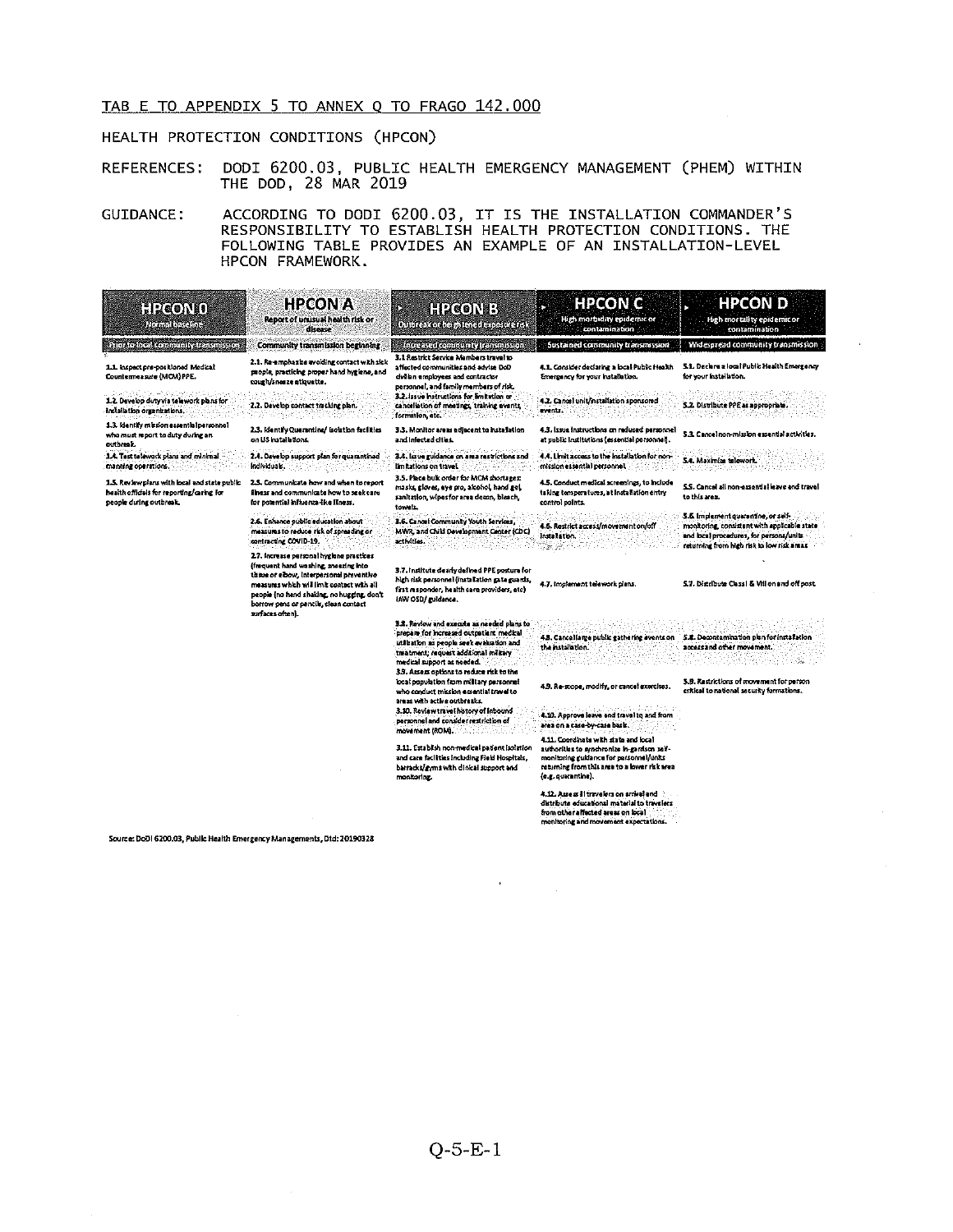# TAB <sup>E</sup> TO APPENDIX <sup>5</sup> TO ANNEX <sup>Q</sup> TO FRAGO 142.000

## HEALTH PROTECTION CONDITIONS (HPC0N)

REFERENCES: DODI 6200.03, PUBLIC HEALTH EMERGENCY MANAGEMENT (PHEM) WITHIN THE DOD, 28 MAR 2019

GUIDANCE: ACCORDING TO DODI 6200.03, IT IS THE INSTALLATION COMMANDER'S RESPONSIBILITY TO ESTABLISH HEALTH PROTECTION CONDITIONS. THE FOLLOWING TABLE PROVIDES AN EXAMPLE OF AN INSTALLATION-LEVEL HPCON FRAMEWORK.

| HPCOND<br>Rumabis ame                                                                                                 | <b>HPCON A</b><br>Report of unusual health risk or<br>disease                                                                                                                                                                                                                           | <b>HPICONER</b><br>Ń.<br>Outbreak or help tened exposurerish                                                                                                                                                                                           | <b>HPCON C</b><br>×<br>High morbidity epidemic or<br>contamination                                                                                                                                     | <b>HPCON D</b><br>High mortality epidemic or<br>contamination                                                                                                             |
|-----------------------------------------------------------------------------------------------------------------------|-----------------------------------------------------------------------------------------------------------------------------------------------------------------------------------------------------------------------------------------------------------------------------------------|--------------------------------------------------------------------------------------------------------------------------------------------------------------------------------------------------------------------------------------------------------|--------------------------------------------------------------------------------------------------------------------------------------------------------------------------------------------------------|---------------------------------------------------------------------------------------------------------------------------------------------------------------------------|
| Prior to local community transmission.                                                                                | Community transmission beginning                                                                                                                                                                                                                                                        | Intressed community transmission.                                                                                                                                                                                                                      | Sustained community transmission                                                                                                                                                                       | Widespread community transmission                                                                                                                                         |
| 1.1 inspect pre-positioned Medical<br>Countermeasure (MCM) PPE.                                                       | 2.1. Re-emohazize avoiding contact with sick<br>people, practicing proper hand hygiene, and<br>cough/sneeze atiquatte.                                                                                                                                                                  | 3.1 Restrict Service Mambers travel to<br>affected communities and advise DoD<br>dylian ensployees and contractor<br>personnel, and family members of risk.                                                                                            | 4.1. Consider declaring a local Public Health<br>Emergency for your installation.                                                                                                                      | 5.1. Declare a local Public Health Emergency<br>for your installation.                                                                                                    |
| 1.2. Develop duty via telework plans for<br>inclaintion organizations,                                                | 2.2. Develop contact tracking plan.                                                                                                                                                                                                                                                     | 3.2. Issue histructions for Emitation or<br>cancellation of meetings, training events,<br>formation, atc.                                                                                                                                              | 4.2. Cancel unit installation sponsored<br>events.                                                                                                                                                     | 5.2. Distribute PPE as appropriate.                                                                                                                                       |
| 1.3. identify mixtion essential personnel<br>who must report to duty during an<br>outbreak.                           | 2.3. Identify Quarantine/ isolation facilities<br>on US hatal atom.                                                                                                                                                                                                                     | 3.3. Monitor areas adjacent to installation<br>and infected cities.                                                                                                                                                                                    | 4.3. Issue instructions on reduced personnel<br>at public institutions (essential personnel).                                                                                                          | 5.3. Cancel non-mission essential activities.                                                                                                                             |
| 1.4. Test to lework plans and minimal<br>manning operations.                                                          | 2.4. Develop support plan for quarantined<br>individuals.                                                                                                                                                                                                                               | 3.4. Issue guidance on area restrictions and<br>limitations on travel                                                                                                                                                                                  | 4.4. Limit access to the installation for non-<br>mission essential personnel.                                                                                                                         | 5.4. Maximize telework.                                                                                                                                                   |
| 1.5. Review plans with local and state public<br>health officials for reporting/caring for<br>people during outbreak. | 2.5. Communicate how and when to report<br>finess and communicate how to seek care<br>for potential infixenza-like liness.                                                                                                                                                              | 3.5. Place bulk order for MCM shortages:<br>masks ploves, eve pro, alcohol, hand gel,<br>sanitation, wipes for area decon, bleach,<br>towals.                                                                                                          | 4.5. Conduct medical screenings, to include<br>taking temperatures, at installation entry<br>control points.                                                                                           | 5.5. Cancel all non-essential leave and travel<br>to this area.                                                                                                           |
|                                                                                                                       | 2.6. Enhance public education about<br>measures to reduce risk of spreading or<br>contracting COVID-19.                                                                                                                                                                                 | 3.6. Cancel Community Youth Services,<br>MWR, and Child Development Center (CDC)<br>activities.                                                                                                                                                        | 4.6. Restrict access/movement on/off<br>Installation.<br>- 2010                                                                                                                                        | 5.5 Implement guarantine, or self-<br>monitoring consistent with applicable state<br>and local procedures, for persons/units<br>returning from high risk to low risk amas |
|                                                                                                                       | 2.7. Increase personal hygiene practices<br>(frequent hand washing, sneazing into<br>tissus or elbow, interpersonal preventive<br>measures which will limit contact with all<br>people (no hand shaking, no hugging, don't<br>borrow pens or pencils, clean contact<br>surfaces often). | 3.7. Institute dearly defined PPE posture for<br>high risk personnel (installation gate guards,<br>first responder, health care providers, etc)<br>IAW OSD/ guidance.                                                                                  | 4.7. Implement telework plans.                                                                                                                                                                         | 5.7. Distribute Classi & Vill on and off post.                                                                                                                            |
|                                                                                                                       |                                                                                                                                                                                                                                                                                         | 3.8. Review and execute as needed plans to<br>prepare for increased outpatient medical<br>utlization as people seek evaluation and<br>tmatment; request additional military<br>medical support as needed.<br>3.9. Access options to reduce risk to the | 43. Cancellarge public gathering events on 5.8. Decontamination plan for installation<br>the installation.                                                                                             | accessand other movement.                                                                                                                                                 |
|                                                                                                                       |                                                                                                                                                                                                                                                                                         | local population from military personnel<br>who conduct mission assential travel to<br>areas with active outbreaks.                                                                                                                                    | 4.9. Re-scope, modify, or cancel exercises.                                                                                                                                                            | 5.9. Restrictions of movement for person<br>critical to national security formations.                                                                                     |
|                                                                                                                       |                                                                                                                                                                                                                                                                                         | 3.30. Review travel history of Inbound<br>personnel and consider restriction of<br>movement (ROM).                                                                                                                                                     | 4.10. Approve leave and travel to and from<br>area on a casa-bw-casa basis.                                                                                                                            |                                                                                                                                                                           |
|                                                                                                                       |                                                                                                                                                                                                                                                                                         | 3.11. Estabilish non-medical patient lasiation<br>and care facilities including Field Hospitals,<br>barracks/gyms with clinical support and<br>monitoring.                                                                                             | 4.11. Coordinate with state and local<br>authorities to synchronize in-gardson self-<br>monitoring guidance for personnel/units<br>returning from this area to a lower risk area<br>(e.g. quarantine). |                                                                                                                                                                           |
|                                                                                                                       |                                                                                                                                                                                                                                                                                         |                                                                                                                                                                                                                                                        | 4.12. Assess II travelers on arrival and<br>distribute educational material to travelers<br>from other affected areas on local<br>monitoring and movement expectations.                                |                                                                                                                                                                           |

Source: DoDI 6200.03, Public Health Emergency Managements, Dtd: 20190328

 $\sim$ 

 $\rightarrow$